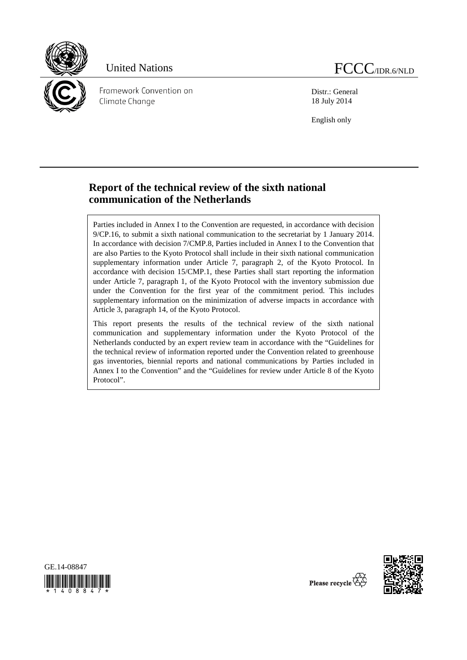

Framework Convention on Climate Change

Distr.: General 18 July 2014

English only

# **Report of the technical review of the sixth national communication of the Netherlands**

Parties included in Annex I to the Convention are requested, in accordance with decision 9/CP.16, to submit a sixth national communication to the secretariat by 1 January 2014. In accordance with decision 7/CMP.8, Parties included in Annex I to the Convention that are also Parties to the Kyoto Protocol shall include in their sixth national communication supplementary information under Article 7, paragraph 2, of the Kyoto Protocol. In accordance with decision 15/CMP.1, these Parties shall start reporting the information under Article 7, paragraph 1, of the Kyoto Protocol with the inventory submission due under the Convention for the first year of the commitment period. This includes supplementary information on the minimization of adverse impacts in accordance with Article 3, paragraph 14, of the Kyoto Protocol.

This report presents the results of the technical review of the sixth national communication and supplementary information under the Kyoto Protocol of the Netherlands conducted by an expert review team in accordance with the "Guidelines for the technical review of information reported under the Convention related to greenhouse gas inventories, biennial reports and national communications by Parties included in Annex I to the Convention" and the "Guidelines for review under Article 8 of the Kyoto Protocol".





Please recycle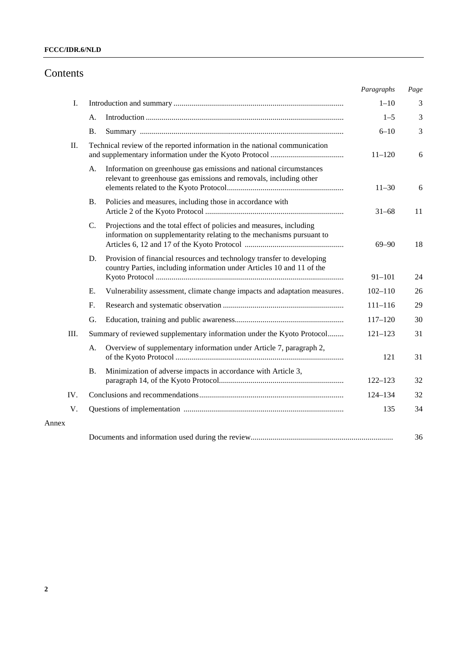## **FCCC/IDR.6/NLD**

# Contents

|       |    |                                                                                                                                                  | Paragraphs  | Page |
|-------|----|--------------------------------------------------------------------------------------------------------------------------------------------------|-------------|------|
| I.    |    |                                                                                                                                                  | $1 - 10$    | 3    |
|       | А. |                                                                                                                                                  | $1 - 5$     | 3    |
|       | Β. |                                                                                                                                                  | $6 - 10$    | 3    |
| Π.    |    | Technical review of the reported information in the national communication                                                                       | $11 - 120$  | 6    |
|       | А. | Information on greenhouse gas emissions and national circumstances<br>relevant to greenhouse gas emissions and removals, including other         | $11 - 30$   | 6    |
|       | В. | Policies and measures, including those in accordance with                                                                                        | $31 - 68$   | 11   |
|       | C. | Projections and the total effect of policies and measures, including<br>information on supplementarity relating to the mechanisms pursuant to    | $69 - 90$   | 18   |
|       | D. | Provision of financial resources and technology transfer to developing<br>country Parties, including information under Articles 10 and 11 of the | $91 - 101$  | 24   |
|       | E. | Vulnerability assessment, climate change impacts and adaptation measures.                                                                        | $102 - 110$ | 26   |
|       | F. |                                                                                                                                                  | $111 - 116$ | 29   |
|       | G. |                                                                                                                                                  | $117 - 120$ | 30   |
| Ш.    |    | Summary of reviewed supplementary information under the Kyoto Protocol                                                                           | $121 - 123$ | 31   |
|       | А. | Overview of supplementary information under Article 7, paragraph 2,                                                                              | 121         | 31   |
|       | Β. | Minimization of adverse impacts in accordance with Article 3,                                                                                    | $122 - 123$ | 32   |
| IV.   |    |                                                                                                                                                  | $124 - 134$ | 32   |
| V.    |    |                                                                                                                                                  | 135         | 34   |
| Annex |    |                                                                                                                                                  |             |      |
|       |    |                                                                                                                                                  |             | 36   |

Annex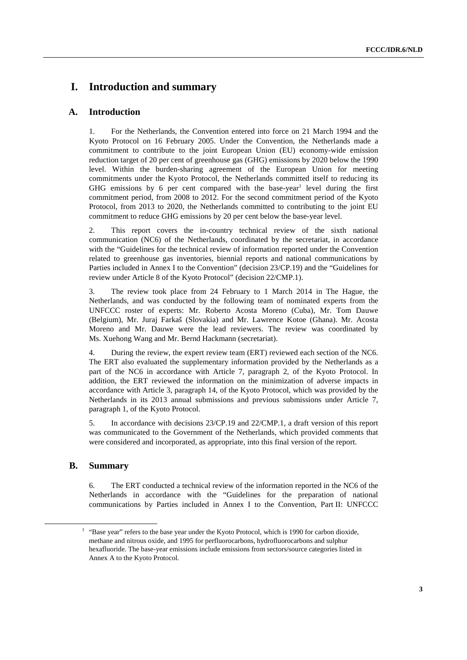# **I. Introduction and summary**

### **A. Introduction**

1. For the Netherlands, the Convention entered into force on 21 March 1994 and the Kyoto Protocol on 16 February 2005. Under the Convention, the Netherlands made a commitment to contribute to the joint European Union (EU) economy-wide emission reduction target of 20 per cent of greenhouse gas (GHG) emissions by 2020 below the 1990 level. Within the burden-sharing agreement of the European Union for meeting commitments under the Kyoto Protocol, the Netherlands committed itself to reducing its GHG emissions by 6 per cent compared with the base-year<sup>1</sup> level during the first commitment period, from 2008 to 2012. For the second commitment period of the Kyoto Protocol, from 2013 to 2020, the Netherlands committed to contributing to the joint EU commitment to reduce GHG emissions by 20 per cent below the base-year level.

2. This report covers the in-country technical review of the sixth national communication (NC6) of the Netherlands, coordinated by the secretariat, in accordance with the "Guidelines for the technical review of information reported under the Convention related to greenhouse gas inventories, biennial reports and national communications by Parties included in Annex I to the Convention" (decision 23/CP.19) and the "Guidelines for review under Article 8 of the Kyoto Protocol" (decision 22/CMP.1).

3. The review took place from 24 February to 1 March 2014 in The Hague, the Netherlands, and was conducted by the following team of nominated experts from the UNFCCC roster of experts: Mr. Roberto Acosta Moreno (Cuba), Mr. Tom Dauwe (Belgium), Mr. Juraj Farkaš (Slovakia) and Mr. Lawrence Kotoe (Ghana). Mr. Acosta Moreno and Mr. Dauwe were the lead reviewers. The review was coordinated by Ms. Xuehong Wang and Mr. Bernd Hackmann (secretariat).

4. During the review, the expert review team (ERT) reviewed each section of the NC6. The ERT also evaluated the supplementary information provided by the Netherlands as a part of the NC6 in accordance with Article 7, paragraph 2, of the Kyoto Protocol. In addition, the ERT reviewed the information on the minimization of adverse impacts in accordance with Article 3, paragraph 14, of the Kyoto Protocol, which was provided by the Netherlands in its 2013 annual submissions and previous submissions under Article 7, paragraph 1, of the Kyoto Protocol.

5. In accordance with decisions 23/CP.19 and 22/CMP.1, a draft version of this report was communicated to the Government of the Netherlands, which provided comments that were considered and incorporated, as appropriate, into this final version of the report.

### **B. Summary**

6. The ERT conducted a technical review of the information reported in the NC6 of the Netherlands in accordance with the "Guidelines for the preparation of national communications by Parties included in Annex I to the Convention, Part II: UNFCCC

<sup>&</sup>lt;u>1</u>  $<sup>1</sup>$  "Base year" refers to the base year under the Kyoto Protocol, which is 1990 for carbon dioxide,</sup> methane and nitrous oxide, and 1995 for perfluorocarbons, hydrofluorocarbons and sulphur hexafluoride. The base-year emissions include emissions from sectors/source categories listed in Annex A to the Kyoto Protocol.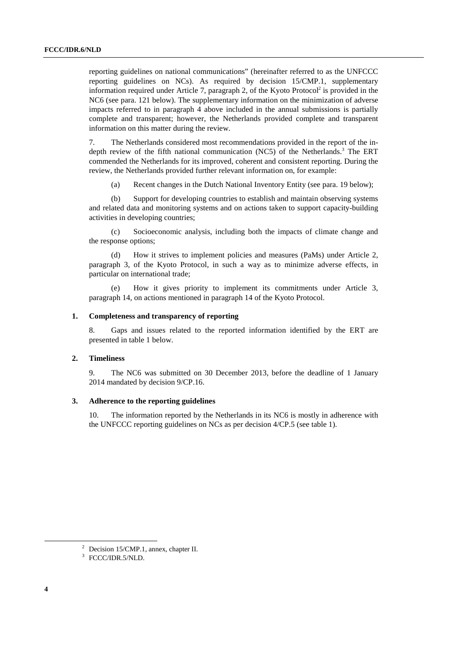reporting guidelines on national communications" (hereinafter referred to as the UNFCCC reporting guidelines on NCs). As required by decision 15/CMP.1, supplementary information required under Article 7, paragraph 2, of the Kyoto Protocol<sup>2</sup> is provided in the NC6 (see para. 121 below). The supplementary information on the minimization of adverse impacts referred to in paragraph 4 above included in the annual submissions is partially complete and transparent; however, the Netherlands provided complete and transparent information on this matter during the review.

7. The Netherlands considered most recommendations provided in the report of the indepth review of the fifth national communication (NC5) of the Netherlands.<sup>3</sup> The ERT commended the Netherlands for its improved, coherent and consistent reporting. During the review, the Netherlands provided further relevant information on, for example:

(a) Recent changes in the Dutch National Inventory Entity (see para. 19 below);

(b) Support for developing countries to establish and maintain observing systems and related data and monitoring systems and on actions taken to support capacity-building activities in developing countries;

(c) Socioeconomic analysis, including both the impacts of climate change and the response options;

(d) How it strives to implement policies and measures (PaMs) under Article 2, paragraph 3, of the Kyoto Protocol, in such a way as to minimize adverse effects, in particular on international trade;

(e) How it gives priority to implement its commitments under Article 3, paragraph 14, on actions mentioned in paragraph 14 of the Kyoto Protocol.

#### **1. Completeness and transparency of reporting**

8. Gaps and issues related to the reported information identified by the ERT are presented in table 1 below.

### **2. Timeliness**

9. The NC6 was submitted on 30 December 2013, before the deadline of 1 January 2014 mandated by decision 9/CP.16.

### **3. Adherence to the reporting guidelines**

10. The information reported by the Netherlands in its NC6 is mostly in adherence with the UNFCCC reporting guidelines on NCs as per decision 4/CP.5 (see table 1).

 <sup>2</sup> <sup>2</sup> Decision 15/CMP.1, annex, chapter II.

<sup>3</sup> FCCC/IDR.5/NLD.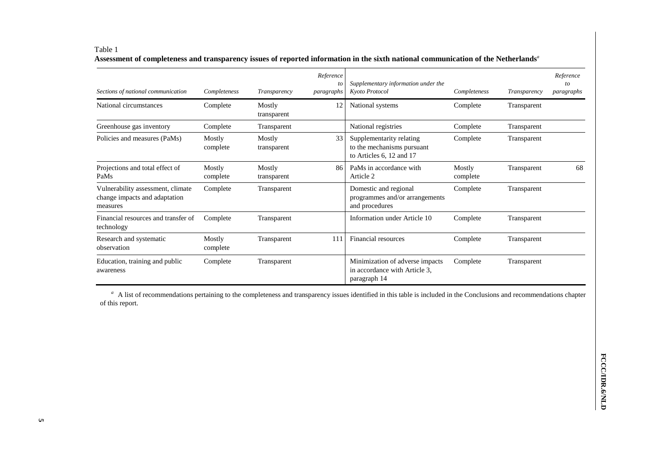#### Table 1 **Assessment of completeness and transparency issues of reported information in the sixth national communication of the Netherlands***<sup>a</sup>*

| Sections of national communication                                             | Completeness       | Transparency          | Reference<br>to<br>paragraphs | Supplementary information under the<br>Kyoto Protocol                              | Completeness       | Transparency | Reference<br>to<br>paragraphs |
|--------------------------------------------------------------------------------|--------------------|-----------------------|-------------------------------|------------------------------------------------------------------------------------|--------------------|--------------|-------------------------------|
| National circumstances                                                         | Complete           | Mostly<br>transparent | 12                            | National systems                                                                   | Complete           | Transparent  |                               |
| Greenhouse gas inventory                                                       | Complete           | Transparent           |                               | National registries                                                                | Complete           | Transparent  |                               |
| Policies and measures (PaMs)                                                   | Mostly<br>complete | Mostly<br>transparent | 33                            | Supplementarity relating<br>to the mechanisms pursuant<br>to Articles 6, 12 and 17 | Complete           | Transparent  |                               |
| Projections and total effect of<br>PaMs                                        | Mostly<br>complete | Mostly<br>transparent | 86                            | PaMs in accordance with<br>Article 2                                               | Mostly<br>complete | Transparent  | 68                            |
| Vulnerability assessment, climate<br>change impacts and adaptation<br>measures | Complete           | Transparent           |                               | Domestic and regional<br>programmes and/or arrangements<br>and procedures          | Complete           | Transparent  |                               |
| Financial resources and transfer of<br>technology                              | Complete           | Transparent           |                               | Information under Article 10                                                       | Complete           | Transparent  |                               |
| Research and systematic<br>observation                                         | Mostly<br>complete | Transparent           | 111                           | Financial resources                                                                | Complete           | Transparent  |                               |
| Education, training and public<br>awareness                                    | Complete           | Transparent           |                               | Minimization of adverse impacts<br>in accordance with Article 3,<br>paragraph 14   | Complete           | Transparent  |                               |

<sup>a</sup> A list of recommendations pertaining to the completeness and transparency issues identified in this table is included in the Conclusions and recommendations chapter of this report.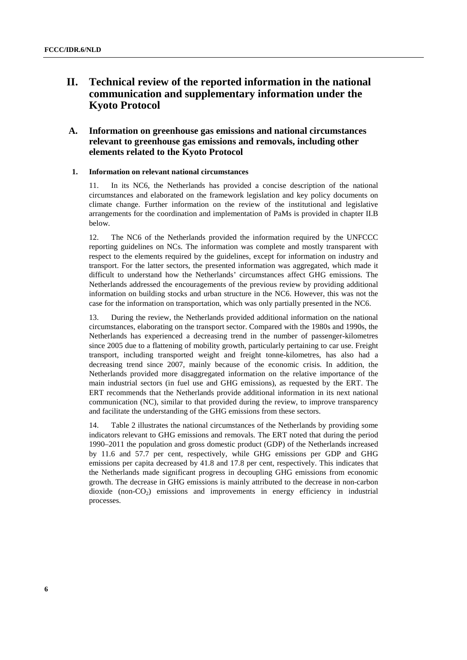# **II. Technical review of the reported information in the national communication and supplementary information under the Kyoto Protocol**

## **A. Information on greenhouse gas emissions and national circumstances relevant to greenhouse gas emissions and removals, including other elements related to the Kyoto Protocol**

### **1. Information on relevant national circumstances**

11. In its NC6, the Netherlands has provided a concise description of the national circumstances and elaborated on the framework legislation and key policy documents on climate change. Further information on the review of the institutional and legislative arrangements for the coordination and implementation of PaMs is provided in chapter II.B below.

12. The NC6 of the Netherlands provided the information required by the UNFCCC reporting guidelines on NCs. The information was complete and mostly transparent with respect to the elements required by the guidelines, except for information on industry and transport. For the latter sectors, the presented information was aggregated, which made it difficult to understand how the Netherlands' circumstances affect GHG emissions. The Netherlands addressed the encouragements of the previous review by providing additional information on building stocks and urban structure in the NC6. However, this was not the case for the information on transportation, which was only partially presented in the NC6.

13. During the review, the Netherlands provided additional information on the national circumstances, elaborating on the transport sector. Compared with the 1980s and 1990s, the Netherlands has experienced a decreasing trend in the number of passenger-kilometres since 2005 due to a flattening of mobility growth, particularly pertaining to car use. Freight transport, including transported weight and freight tonne-kilometres, has also had a decreasing trend since 2007, mainly because of the economic crisis. In addition, the Netherlands provided more disaggregated information on the relative importance of the main industrial sectors (in fuel use and GHG emissions), as requested by the ERT. The ERT recommends that the Netherlands provide additional information in its next national communication (NC), similar to that provided during the review, to improve transparency and facilitate the understanding of the GHG emissions from these sectors.

14. Table 2 illustrates the national circumstances of the Netherlands by providing some indicators relevant to GHG emissions and removals. The ERT noted that during the period 1990–2011 the population and gross domestic product (GDP) of the Netherlands increased by 11.6 and 57.7 per cent, respectively, while GHG emissions per GDP and GHG emissions per capita decreased by 41.8 and 17.8 per cent, respectively. This indicates that the Netherlands made significant progress in decoupling GHG emissions from economic growth. The decrease in GHG emissions is mainly attributed to the decrease in non-carbon dioxide (non- $CO<sub>2</sub>$ ) emissions and improvements in energy efficiency in industrial processes.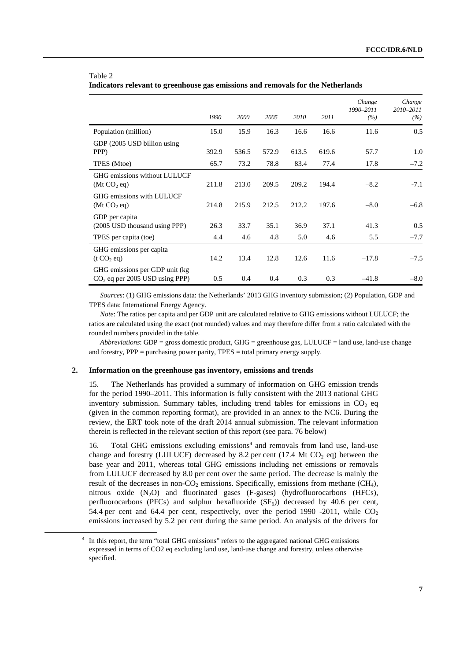|                                                                     | 1990  | 2000  | 2005  | 2010  | 2011  | Change<br>1990-2011<br>(%) | Change<br>2010-2011<br>(%) |
|---------------------------------------------------------------------|-------|-------|-------|-------|-------|----------------------------|----------------------------|
| Population (million)                                                | 15.0  | 15.9  | 16.3  | 16.6  | 16.6  | 11.6                       | 0.5                        |
| GDP (2005 USD billion using<br>PPP)                                 | 392.9 | 536.5 | 572.9 | 613.5 | 619.6 | 57.7                       | 1.0                        |
| TPES (Mtoe)                                                         | 65.7  | 73.2  | 78.8  | 83.4  | 77.4  | 17.8                       | $-7.2$                     |
| GHG emissions without LULUCF<br>(Mt CO <sub>2</sub> eq)             | 211.8 | 213.0 | 209.5 | 209.2 | 194.4 | $-8.2$                     | $-7.1$                     |
| GHG emissions with LULUCF<br>(Mt CO <sub>2</sub> eq)                | 214.8 | 215.9 | 212.5 | 212.2 | 197.6 | $-8.0$                     | $-6.8$                     |
| GDP per capita<br>(2005 USD thousand using PPP)                     | 26.3  | 33.7  | 35.1  | 36.9  | 37.1  | 41.3                       | 0.5                        |
| TPES per capita (toe)                                               | 4.4   | 4.6   | 4.8   | 5.0   | 4.6   | 5.5                        | $-7.7$                     |
| GHG emissions per capita<br>(t CO, eq)                              | 14.2  | 13.4  | 12.8  | 12.6  | 11.6  | $-17.8$                    | $-7.5$                     |
| GHG emissions per GDP unit (kg)<br>$CO2$ eq per 2005 USD using PPP) | 0.5   | 0.4   | 0.4   | 0.3   | 0.3   | $-41.8$                    | $-8.0$                     |

#### Table 2 **Indicators relevant to greenhouse gas emissions and removals for the Netherlands**

*Sources*: (1) GHG emissions data: the Netherlands' 2013 GHG inventory submission; (2) Population, GDP and TPES data: International Energy Agency.

*Note*: The ratios per capita and per GDP unit are calculated relative to GHG emissions without LULUCF; the ratios are calculated using the exact (not rounded) values and may therefore differ from a ratio calculated with the rounded numbers provided in the table.

*Abbreviations*: GDP = gross domestic product, GHG = greenhouse gas, LULUCF = land use, land-use change and forestry,  $PPP = purchasing power parity, TPES = total primary energy supply.$ 

#### **2. Information on the greenhouse gas inventory, emissions and trends**

15. The Netherlands has provided a summary of information on GHG emission trends for the period 1990–2011. This information is fully consistent with the 2013 national GHG inventory submission. Summary tables, including trend tables for emissions in  $CO<sub>2</sub>$  eq (given in the common reporting format), are provided in an annex to the NC6. During the review, the ERT took note of the draft 2014 annual submission. The relevant information therein is reflected in the relevant section of this report (see para. 76 below)

16. Total GHG emissions excluding emissions<sup>4</sup> and removals from land use, land-use change and forestry (LULUCF) decreased by 8.2 per cent (17.4 Mt  $CO<sub>2</sub>$  eq) between the base year and 2011, whereas total GHG emissions including net emissions or removals from LULUCF decreased by 8.0 per cent over the same period. The decrease is mainly the result of the decreases in non- $CO<sub>2</sub>$  emissions. Specifically, emissions from methane (CH<sub>4</sub>), nitrous oxide (N<sub>2</sub>O) and fluorinated gases (F-gases) (hydrofluorocarbons (HFCs), perfluorocarbons (PFCs) and sulphur hexafluoride  $(SF_6)$  decreased by 40.6 per cent, 54.4 per cent and 64.4 per cent, respectively, over the period 1990 -2011, while  $CO<sub>2</sub>$ emissions increased by 5.2 per cent during the same period. An analysis of the drivers for

 <sup>4</sup> <sup>4</sup> In this report, the term "total GHG emissions" refers to the aggregated national GHG emissions expressed in terms of CO2 eq excluding land use, land-use change and forestry, unless otherwise specified.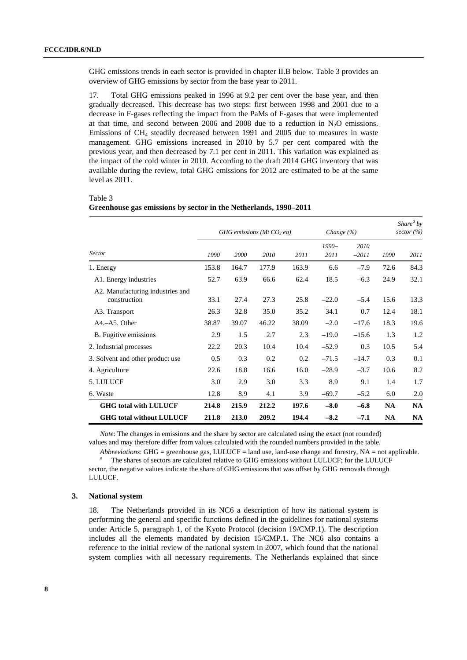GHG emissions trends in each sector is provided in chapter II.B below. Table 3 provides an overview of GHG emissions by sector from the base year to 2011.

17. Total GHG emissions peaked in 1996 at 9.2 per cent over the base year, and then gradually decreased. This decrease has two steps: first between 1998 and 2001 due to a decrease in F-gases reflecting the impact from the PaMs of F-gases that were implemented at that time, and second between  $2006$  and  $2008$  due to a reduction in N<sub>2</sub>O emissions. Emissions of CH4 steadily decreased between 1991 and 2005 due to measures in waste management. GHG emissions increased in 2010 by 5.7 per cent compared with the previous year, and then decreased by 7.1 per cent in 2011. This variation was explained as the impact of the cold winter in 2010. According to the draft 2014 GHG inventory that was available during the review, total GHG emissions for 2012 are estimated to be at the same level as 2011.

|                                                  |       |       | GHG emissions (Mt $CO2$ eq) | Change (%) |                 | Share <sup>a</sup> by<br>sector $(\% )$ |           |           |
|--------------------------------------------------|-------|-------|-----------------------------|------------|-----------------|-----------------------------------------|-----------|-----------|
| <b>Sector</b>                                    | 1990  | 2000  | 2010                        | 2011       | $1990-$<br>2011 | 2010<br>$-2011$                         | 1990      | 2011      |
| 1. Energy                                        | 153.8 | 164.7 | 177.9                       | 163.9      | 6.6             | $-7.9$                                  | 72.6      | 84.3      |
| A1. Energy industries                            | 52.7  | 63.9  | 66.6                        | 62.4       | 18.5            | $-6.3$                                  | 24.9      | 32.1      |
| A2. Manufacturing industries and<br>construction | 33.1  | 27.4  | 27.3                        | 25.8       | $-22.0$         | $-5.4$                                  | 15.6      | 13.3      |
| A3. Transport                                    | 26.3  | 32.8  | 35.0                        | 35.2       | 34.1            | 0.7                                     | 12.4      | 18.1      |
| $A4.-A5. Other$                                  | 38.87 | 39.07 | 46.22                       | 38.09      | $-2.0$          | $-17.6$                                 | 18.3      | 19.6      |
| B. Fugitive emissions                            | 2.9   | 1.5   | 2.7                         | 2.3        | $-19.0$         | $-15.6$                                 | 1.3       | 1.2       |
| 2. Industrial processes                          | 22.2  | 20.3  | 10.4                        | 10.4       | $-52.9$         | 0.3                                     | 10.5      | 5.4       |
| 3. Solvent and other product use                 | 0.5   | 0.3   | 0.2                         | 0.2        | $-71.5$         | $-14.7$                                 | 0.3       | 0.1       |
| 4. Agriculture                                   | 22.6  | 18.8  | 16.6                        | 16.0       | $-28.9$         | $-3.7$                                  | 10.6      | 8.2       |
| 5. LULUCF                                        | 3.0   | 2.9   | 3.0                         | 3.3        | 8.9             | 9.1                                     | 1.4       | 1.7       |
| 6. Waste                                         | 12.8  | 8.9   | 4.1                         | 3.9        | $-69.7$         | $-5.2$                                  | 6.0       | 2.0       |
| <b>GHG total with LULUCF</b>                     | 214.8 | 215.9 | 212.2                       | 197.6      | $-8.0$          | $-6.8$                                  | <b>NA</b> | <b>NA</b> |
| <b>GHG total without LULUCF</b>                  | 211.8 | 213.0 | 209.2                       | 194.4      | $-8.2$          | $-7.1$                                  | <b>NA</b> | <b>NA</b> |

 $\theta$ 

#### Table 3

| Greenhouse gas emissions by sector in the Netherlands, 1990-2011 |  |  |  |
|------------------------------------------------------------------|--|--|--|
|                                                                  |  |  |  |

*Note*: The changes in emissions and the share by sector are calculated using the exact (not rounded) values and may therefore differ from values calculated with the rounded numbers provided in the table.

*Abbreviations*: GHG = greenhouse gas, LULUCF = land use, land-use change and forestry, NA = not applicable. The shares of sectors are calculated relative to GHG emissions without LULUCF; for the LULUCF

sector, the negative values indicate the share of GHG emissions that was offset by GHG removals through LULUCF.

#### **3. National system**

18. The Netherlands provided in its NC6 a description of how its national system is performing the general and specific functions defined in the guidelines for national systems under Article 5, paragraph 1, of the Kyoto Protocol (decision 19/CMP.1). The description includes all the elements mandated by decision 15/CMP.1. The NC6 also contains a reference to the initial review of the national system in 2007, which found that the national system complies with all necessary requirements. The Netherlands explained that since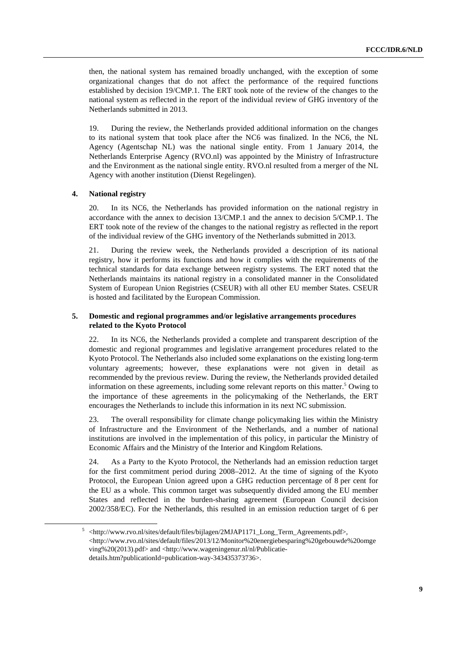then, the national system has remained broadly unchanged, with the exception of some organizational changes that do not affect the performance of the required functions established by decision 19/CMP.1. The ERT took note of the review of the changes to the national system as reflected in the report of the individual review of GHG inventory of the Netherlands submitted in 2013.

19. During the review, the Netherlands provided additional information on the changes to its national system that took place after the NC6 was finalized. In the NC6, the NL Agency (Agentschap NL) was the national single entity. From 1 January 2014, the Netherlands Enterprise Agency (RVO.nl) was appointed by the Ministry of Infrastructure and the Environment as the national single entity. RVO.nl resulted from a merger of the NL Agency with another institution (Dienst Regelingen).

#### **4. National registry**

20. In its NC6, the Netherlands has provided information on the national registry in accordance with the annex to decision 13/CMP.1 and the annex to decision 5/CMP.1. The ERT took note of the review of the changes to the national registry as reflected in the report of the individual review of the GHG inventory of the Netherlands submitted in 2013.

21. During the review week, the Netherlands provided a description of its national registry, how it performs its functions and how it complies with the requirements of the technical standards for data exchange between registry systems. The ERT noted that the Netherlands maintains its national registry in a consolidated manner in the Consolidated System of European Union Registries (CSEUR) with all other EU member States. CSEUR is hosted and facilitated by the European Commission.

### **5. Domestic and regional programmes and/or legislative arrangements procedures related to the Kyoto Protocol**

22. In its NC6, the Netherlands provided a complete and transparent description of the domestic and regional programmes and legislative arrangement procedures related to the Kyoto Protocol. The Netherlands also included some explanations on the existing long-term voluntary agreements; however, these explanations were not given in detail as recommended by the previous review. During the review, the Netherlands provided detailed information on these agreements, including some relevant reports on this matter.<sup>5</sup> Owing to the importance of these agreements in the policymaking of the Netherlands, the ERT encourages the Netherlands to include this information in its next NC submission.

23. The overall responsibility for climate change policymaking lies within the Ministry of Infrastructure and the Environment of the Netherlands, and a number of national institutions are involved in the implementation of this policy, in particular the Ministry of Economic Affairs and the Ministry of the Interior and Kingdom Relations.

24. As a Party to the Kyoto Protocol, the Netherlands had an emission reduction target for the first commitment period during 2008–2012. At the time of signing of the Kyoto Protocol, the European Union agreed upon a GHG reduction percentage of 8 per cent for the EU as a whole. This common target was subsequently divided among the EU member States and reflected in the burden-sharing agreement (European Council decision 2002/358/EC). For the Netherlands, this resulted in an emission reduction target of 6 per

 $\frac{1}{5}$  <http://www.rvo.nl/sites/default/files/bijlagen/2MJAP1171\_Long\_Term\_Agreements.pdf>, <http://www.rvo.nl/sites/default/files/2013/12/Monitor%20energiebesparing%20gebouwde%20omge ving%20(2013).pdf> and <http://www.wageningenur.nl/nl/Publicatiedetails.htm?publicationId=publication-way-343435373736>.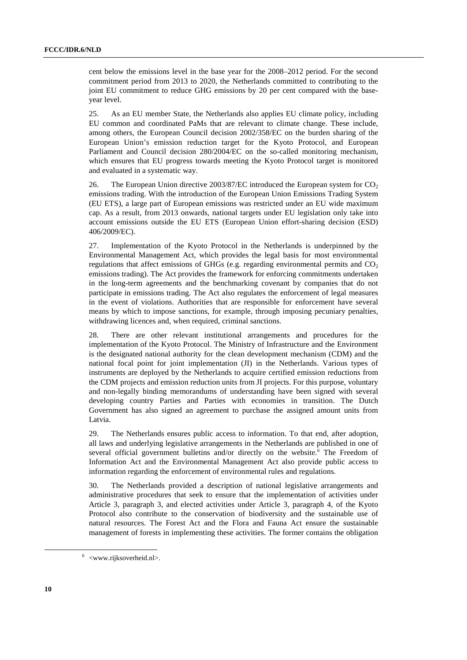cent below the emissions level in the base year for the 2008–2012 period. For the second commitment period from 2013 to 2020, the Netherlands committed to contributing to the joint EU commitment to reduce GHG emissions by 20 per cent compared with the baseyear level.

25. As an EU member State, the Netherlands also applies EU climate policy, including EU common and coordinated PaMs that are relevant to climate change. These include, among others, the European Council decision 2002/358/EC on the burden sharing of the European Union's emission reduction target for the Kyoto Protocol, and European Parliament and Council decision 280/2004/EC on the so-called monitoring mechanism, which ensures that EU progress towards meeting the Kyoto Protocol target is monitored and evaluated in a systematic way.

26. The European Union directive 2003/87/EC introduced the European system for  $CO<sub>2</sub>$ emissions trading. With the introduction of the European Union Emissions Trading System (EU ETS), a large part of European emissions was restricted under an EU wide maximum cap. As a result, from 2013 onwards, national targets under EU legislation only take into account emissions outside the EU ETS (European Union effort-sharing decision (ESD) 406/2009/EC).

27. Implementation of the Kyoto Protocol in the Netherlands is underpinned by the Environmental Management Act, which provides the legal basis for most environmental regulations that affect emissions of GHGs (e.g. regarding environmental permits and  $CO<sub>2</sub>$ emissions trading). The Act provides the framework for enforcing commitments undertaken in the long-term agreements and the benchmarking covenant by companies that do not participate in emissions trading. The Act also regulates the enforcement of legal measures in the event of violations. Authorities that are responsible for enforcement have several means by which to impose sanctions, for example, through imposing pecuniary penalties, withdrawing licences and, when required, criminal sanctions.

28. There are other relevant institutional arrangements and procedures for the implementation of the Kyoto Protocol. The Ministry of Infrastructure and the Environment is the designated national authority for the clean development mechanism (CDM) and the national focal point for joint implementation (JI) in the Netherlands. Various types of instruments are deployed by the Netherlands to acquire certified emission reductions from the CDM projects and emission reduction units from JI projects. For this purpose, voluntary and non-legally binding memorandums of understanding have been signed with several developing country Parties and Parties with economies in transition. The Dutch Government has also signed an agreement to purchase the assigned amount units from Latvia.

29. The Netherlands ensures public access to information. To that end, after adoption, all laws and underlying legislative arrangements in the Netherlands are published in one of several official government bulletins and/or directly on the website.<sup>6</sup> The Freedom of Information Act and the Environmental Management Act also provide public access to information regarding the enforcement of environmental rules and regulations.

30. The Netherlands provided a description of national legislative arrangements and administrative procedures that seek to ensure that the implementation of activities under Article 3, paragraph 3, and elected activities under Article 3, paragraph 4, of the Kyoto Protocol also contribute to the conservation of biodiversity and the sustainable use of natural resources. The Forest Act and the Flora and Fauna Act ensure the sustainable management of forests in implementing these activities. The former contains the obligation

 $\overline{\phantom{0}}$  $6$  <www.rijksoverheid.nl>.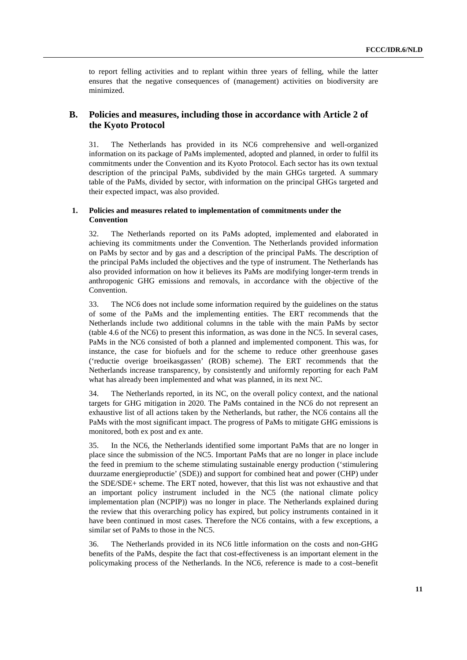to report felling activities and to replant within three years of felling, while the latter ensures that the negative consequences of (management) activities on biodiversity are minimized.

### **B. Policies and measures, including those in accordance with Article 2 of the Kyoto Protocol**

31. The Netherlands has provided in its NC6 comprehensive and well-organized information on its package of PaMs implemented, adopted and planned, in order to fulfil its commitments under the Convention and its Kyoto Protocol. Each sector has its own textual description of the principal PaMs, subdivided by the main GHGs targeted. A summary table of the PaMs, divided by sector, with information on the principal GHGs targeted and their expected impact, was also provided.

### **1. Policies and measures related to implementation of commitments under the Convention**

32. The Netherlands reported on its PaMs adopted, implemented and elaborated in achieving its commitments under the Convention. The Netherlands provided information on PaMs by sector and by gas and a description of the principal PaMs. The description of the principal PaMs included the objectives and the type of instrument. The Netherlands has also provided information on how it believes its PaMs are modifying longer-term trends in anthropogenic GHG emissions and removals, in accordance with the objective of the Convention.

33. The NC6 does not include some information required by the guidelines on the status of some of the PaMs and the implementing entities. The ERT recommends that the Netherlands include two additional columns in the table with the main PaMs by sector (table 4.6 of the NC6) to present this information, as was done in the NC5. In several cases, PaMs in the NC6 consisted of both a planned and implemented component. This was, for instance, the case for biofuels and for the scheme to reduce other greenhouse gases ('reductie overige broeikasgassen' (ROB) scheme). The ERT recommends that the Netherlands increase transparency, by consistently and uniformly reporting for each PaM what has already been implemented and what was planned, in its next NC.

34. The Netherlands reported, in its NC, on the overall policy context, and the national targets for GHG mitigation in 2020. The PaMs contained in the NC6 do not represent an exhaustive list of all actions taken by the Netherlands, but rather, the NC6 contains all the PaMs with the most significant impact. The progress of PaMs to mitigate GHG emissions is monitored, both ex post and ex ante.

35. In the NC6, the Netherlands identified some important PaMs that are no longer in place since the submission of the NC5. Important PaMs that are no longer in place include the feed in premium to the scheme stimulating sustainable energy production ('stimulering duurzame energieproductie' (SDE)) and support for combined heat and power (CHP) under the SDE/SDE+ scheme. The ERT noted, however, that this list was not exhaustive and that an important policy instrument included in the NC5 (the national climate policy implementation plan (NCPIP)) was no longer in place. The Netherlands explained during the review that this overarching policy has expired, but policy instruments contained in it have been continued in most cases. Therefore the NC6 contains, with a few exceptions, a similar set of PaMs to those in the NC5.

36. The Netherlands provided in its NC6 little information on the costs and non-GHG benefits of the PaMs, despite the fact that cost-effectiveness is an important element in the policymaking process of the Netherlands. In the NC6, reference is made to a cost–benefit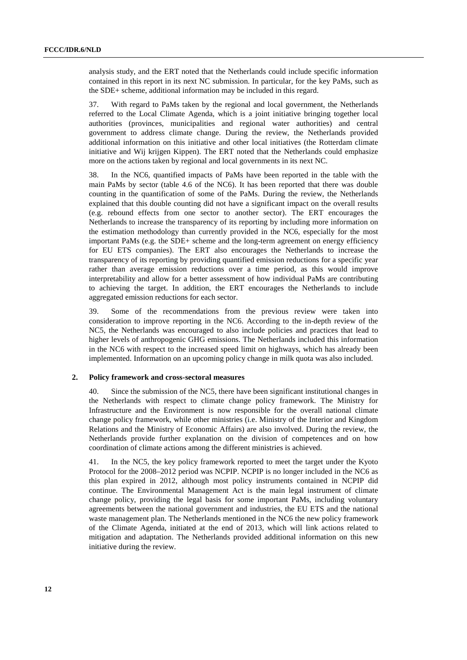analysis study, and the ERT noted that the Netherlands could include specific information contained in this report in its next NC submission. In particular, for the key PaMs, such as the SDE+ scheme, additional information may be included in this regard.

37. With regard to PaMs taken by the regional and local government, the Netherlands referred to the Local Climate Agenda, which is a joint initiative bringing together local authorities (provinces, municipalities and regional water authorities) and central government to address climate change. During the review, the Netherlands provided additional information on this initiative and other local initiatives (the Rotterdam climate initiative and Wij krijgen Kippen). The ERT noted that the Netherlands could emphasize more on the actions taken by regional and local governments in its next NC.

38. In the NC6, quantified impacts of PaMs have been reported in the table with the main PaMs by sector (table 4.6 of the NC6). It has been reported that there was double counting in the quantification of some of the PaMs. During the review, the Netherlands explained that this double counting did not have a significant impact on the overall results (e.g. rebound effects from one sector to another sector). The ERT encourages the Netherlands to increase the transparency of its reporting by including more information on the estimation methodology than currently provided in the NC6, especially for the most important PaMs (e.g. the SDE+ scheme and the long-term agreement on energy efficiency for EU ETS companies). The ERT also encourages the Netherlands to increase the transparency of its reporting by providing quantified emission reductions for a specific year rather than average emission reductions over a time period, as this would improve interpretability and allow for a better assessment of how individual PaMs are contributing to achieving the target. In addition, the ERT encourages the Netherlands to include aggregated emission reductions for each sector.

39. Some of the recommendations from the previous review were taken into consideration to improve reporting in the NC6. According to the in-depth review of the NC5, the Netherlands was encouraged to also include policies and practices that lead to higher levels of anthropogenic GHG emissions. The Netherlands included this information in the NC6 with respect to the increased speed limit on highways, which has already been implemented. Information on an upcoming policy change in milk quota was also included.

### **2. Policy framework and cross-sectoral measures**

40. Since the submission of the NC5, there have been significant institutional changes in the Netherlands with respect to climate change policy framework. The Ministry for Infrastructure and the Environment is now responsible for the overall national climate change policy framework, while other ministries (i.e. Ministry of the Interior and Kingdom Relations and the Ministry of Economic Affairs) are also involved. During the review, the Netherlands provide further explanation on the division of competences and on how coordination of climate actions among the different ministries is achieved.

41. In the NC5, the key policy framework reported to meet the target under the Kyoto Protocol for the 2008–2012 period was NCPIP. NCPIP is no longer included in the NC6 as this plan expired in 2012, although most policy instruments contained in NCPIP did continue. The Environmental Management Act is the main legal instrument of climate change policy, providing the legal basis for some important PaMs, including voluntary agreements between the national government and industries, the EU ETS and the national waste management plan. The Netherlands mentioned in the NC6 the new policy framework of the Climate Agenda, initiated at the end of 2013, which will link actions related to mitigation and adaptation. The Netherlands provided additional information on this new initiative during the review.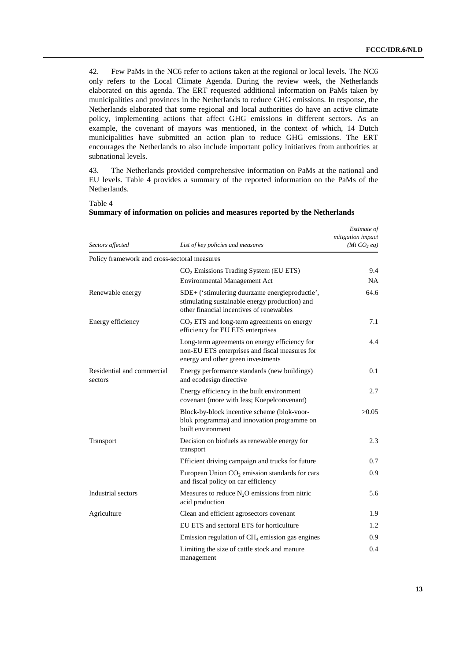42. Few PaMs in the NC6 refer to actions taken at the regional or local levels. The NC6 only refers to the Local Climate Agenda. During the review week, the Netherlands elaborated on this agenda. The ERT requested additional information on PaMs taken by municipalities and provinces in the Netherlands to reduce GHG emissions. In response, the Netherlands elaborated that some regional and local authorities do have an active climate policy, implementing actions that affect GHG emissions in different sectors. As an example, the covenant of mayors was mentioned, in the context of which, 14 Dutch municipalities have submitted an action plan to reduce GHG emissions. The ERT encourages the Netherlands to also include important policy initiatives from authorities at subnational levels.

43. The Netherlands provided comprehensive information on PaMs at the national and EU levels. Table 4 provides a summary of the reported information on the PaMs of the Netherlands.

Table 4

| Sectors affected                             | List of key policies and measures                                                                                                            | Estimate of<br>mitigation impact<br>(Mt CO <sub>2</sub> eq) |
|----------------------------------------------|----------------------------------------------------------------------------------------------------------------------------------------------|-------------------------------------------------------------|
| Policy framework and cross-sectoral measures |                                                                                                                                              |                                                             |
|                                              |                                                                                                                                              | 9.4                                                         |
|                                              | $CO2$ Emissions Trading System (EU ETS)<br><b>Environmental Management Act</b>                                                               | NA.                                                         |
| Renewable energy                             | SDE+ ('stimulering duurzame energieproductie',<br>stimulating sustainable energy production) and<br>other financial incentives of renewables | 64.6                                                        |
| Energy efficiency                            | $CO2 ETS$ and long-term agreements on energy<br>efficiency for EU ETS enterprises                                                            | 7.1                                                         |
|                                              | Long-term agreements on energy efficiency for<br>non-EU ETS enterprises and fiscal measures for<br>energy and other green investments        | 4.4                                                         |
| Residential and commercial<br>sectors        | Energy performance standards (new buildings)<br>and ecodesign directive                                                                      | 0.1                                                         |
|                                              | Energy efficiency in the built environment<br>covenant (more with less; Koepelconvenant)                                                     | 2.7                                                         |
|                                              | Block-by-block incentive scheme (blok-voor-<br>blok programma) and innovation programme on<br>built environment                              | >0.05                                                       |
| Transport                                    | Decision on biofuels as renewable energy for<br>transport                                                                                    | 2.3                                                         |
|                                              | Efficient driving campaign and trucks for future                                                                                             | 0.7                                                         |
|                                              | European Union $CO2$ emission standards for cars<br>and fiscal policy on car efficiency                                                      | 0.9                                                         |
| Industrial sectors                           | Measures to reduce $N_2O$ emissions from nitric<br>acid production                                                                           | 5.6                                                         |
| Agriculture                                  | Clean and efficient agrosectors covenant                                                                                                     | 1.9                                                         |
|                                              | EU ETS and sectoral ETS for horticulture                                                                                                     | 1.2                                                         |
|                                              | Emission regulation of $CH4$ emission gas engines                                                                                            | 0.9                                                         |
|                                              | Limiting the size of cattle stock and manure<br>management                                                                                   | 0.4                                                         |

**Summary of information on policies and measures reported by the Netherlands**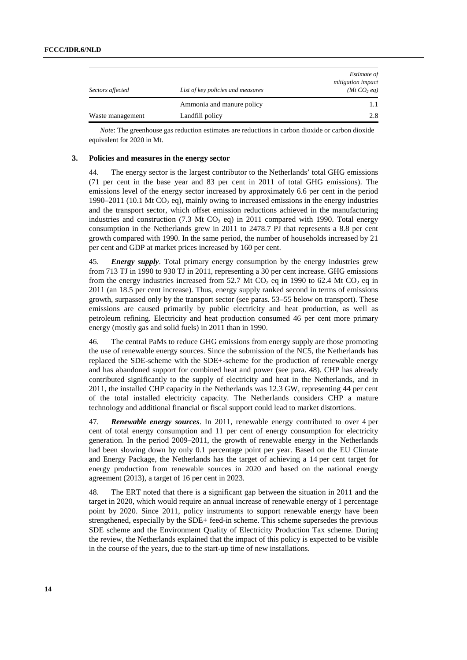| Sectors affected | List of key policies and measures | Estimate of<br>mitigation impact<br>(Mt CO <sub>2</sub> eq) |
|------------------|-----------------------------------|-------------------------------------------------------------|
|                  | Ammonia and manure policy         |                                                             |
| Waste management | Landfill policy                   | 2.8                                                         |

*Note*: The greenhouse gas reduction estimates are reductions in carbon dioxide or carbon dioxide equivalent for 2020 in Mt.

### **3. Policies and measures in the energy sector**

44. The energy sector is the largest contributor to the Netherlands' total GHG emissions (71 per cent in the base year and 83 per cent in 2011 of total GHG emissions). The emissions level of the energy sector increased by approximately 6.6 per cent in the period 1990–2011 (10.1 Mt  $CO<sub>2</sub>$  eq), mainly owing to increased emissions in the energy industries and the transport sector, which offset emission reductions achieved in the manufacturing industries and construction (7.3 Mt  $CO<sub>2</sub>$  eq) in 2011 compared with 1990. Total energy consumption in the Netherlands grew in 2011 to 2478.7 PJ that represents a 8.8 per cent growth compared with 1990. In the same period, the number of households increased by 21 per cent and GDP at market prices increased by 160 per cent.

45. *Energy supply*. Total primary energy consumption by the energy industries grew from 713 TJ in 1990 to 930 TJ in 2011, representing a 30 per cent increase. GHG emissions from the energy industries increased from 52.7 Mt CO<sub>2</sub> eq in 1990 to 62.4 Mt CO<sub>2</sub> eq in 2011 (an 18.5 per cent increase). Thus, energy supply ranked second in terms of emissions growth, surpassed only by the transport sector (see paras. 53–55 below on transport). These emissions are caused primarily by public electricity and heat production, as well as petroleum refining. Electricity and heat production consumed 46 per cent more primary energy (mostly gas and solid fuels) in 2011 than in 1990.

46. The central PaMs to reduce GHG emissions from energy supply are those promoting the use of renewable energy sources. Since the submission of the NC5, the Netherlands has replaced the SDE-scheme with the SDE+-scheme for the production of renewable energy and has abandoned support for combined heat and power (see para. 48). CHP has already contributed significantly to the supply of electricity and heat in the Netherlands, and in 2011, the installed CHP capacity in the Netherlands was 12.3 GW, representing 44 per cent of the total installed electricity capacity. The Netherlands considers CHP a mature technology and additional financial or fiscal support could lead to market distortions.

47. *Renewable energy sources*. In 2011, renewable energy contributed to over 4 per cent of total energy consumption and 11 per cent of energy consumption for electricity generation. In the period 2009–2011, the growth of renewable energy in the Netherlands had been slowing down by only 0.1 percentage point per year. Based on the EU Climate and Energy Package, the Netherlands has the target of achieving a 14 per cent target for energy production from renewable sources in 2020 and based on the national energy agreement (2013), a target of 16 per cent in 2023.

48. The ERT noted that there is a significant gap between the situation in 2011 and the target in 2020, which would require an annual increase of renewable energy of 1 percentage point by 2020. Since 2011, policy instruments to support renewable energy have been strengthened, especially by the SDE+ feed-in scheme. This scheme supersedes the previous SDE scheme and the Environment Quality of Electricity Production Tax scheme. During the review, the Netherlands explained that the impact of this policy is expected to be visible in the course of the years, due to the start-up time of new installations.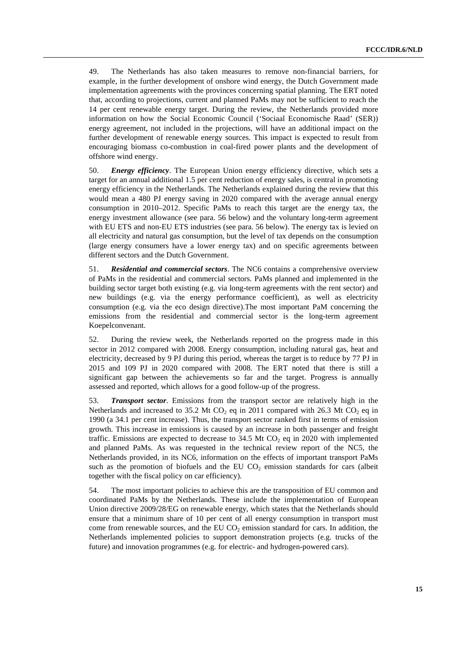49. The Netherlands has also taken measures to remove non-financial barriers, for example, in the further development of onshore wind energy, the Dutch Government made implementation agreements with the provinces concerning spatial planning. The ERT noted that, according to projections, current and planned PaMs may not be sufficient to reach the 14 per cent renewable energy target. During the review, the Netherlands provided more information on how the Social Economic Council ('Sociaal Economische Raad' (SER)) energy agreement, not included in the projections, will have an additional impact on the further development of renewable energy sources. This impact is expected to result from encouraging biomass co-combustion in coal-fired power plants and the development of offshore wind energy.

50. *Energy efficiency*. The European Union energy efficiency directive, which sets a target for an annual additional 1.5 per cent reduction of energy sales, is central in promoting energy efficiency in the Netherlands. The Netherlands explained during the review that this would mean a 480 PJ energy saving in 2020 compared with the average annual energy consumption in 2010–2012. Specific PaMs to reach this target are the energy tax, the energy investment allowance (see para. 56 below) and the voluntary long-term agreement with EU ETS and non-EU ETS industries (see para. 56 below). The energy tax is levied on all electricity and natural gas consumption, but the level of tax depends on the consumption (large energy consumers have a lower energy tax) and on specific agreements between different sectors and the Dutch Government.

51. *Residential and commercial sectors*. The NC6 contains a comprehensive overview of PaMs in the residential and commercial sectors. PaMs planned and implemented in the building sector target both existing (e.g. via long-term agreements with the rent sector) and new buildings (e.g. via the energy performance coefficient), as well as electricity consumption (e.g. via the eco design directive).The most important PaM concerning the emissions from the residential and commercial sector is the long-term agreement Koepelconvenant.

52. During the review week, the Netherlands reported on the progress made in this sector in 2012 compared with 2008. Energy consumption, including natural gas, heat and electricity, decreased by 9 PJ during this period, whereas the target is to reduce by 77 PJ in 2015 and 109 PJ in 2020 compared with 2008. The ERT noted that there is still a significant gap between the achievements so far and the target. Progress is annually assessed and reported, which allows for a good follow-up of the progress.

53. *Transport sector*. Emissions from the transport sector are relatively high in the Netherlands and increased to 35.2 Mt  $CO<sub>2</sub>$  eq in 2011 compared with 26.3 Mt  $CO<sub>2</sub>$  eq in 1990 (a 34.1 per cent increase). Thus, the transport sector ranked first in terms of emission growth. This increase in emissions is caused by an increase in both passenger and freight traffic. Emissions are expected to decrease to  $34.5$  Mt CO<sub>2</sub> eq in 2020 with implemented and planned PaMs. As was requested in the technical review report of the NC5, the Netherlands provided, in its NC6, information on the effects of important transport PaMs such as the promotion of biofuels and the EU  $CO<sub>2</sub>$  emission standards for cars (albeit together with the fiscal policy on car efficiency).

54. The most important policies to achieve this are the transposition of EU common and coordinated PaMs by the Netherlands. These include the implementation of European Union directive 2009/28/EG on renewable energy, which states that the Netherlands should ensure that a minimum share of 10 per cent of all energy consumption in transport must come from renewable sources, and the EU  $CO<sub>2</sub>$  emission standard for cars. In addition, the Netherlands implemented policies to support demonstration projects (e.g. trucks of the future) and innovation programmes (e.g. for electric- and hydrogen-powered cars).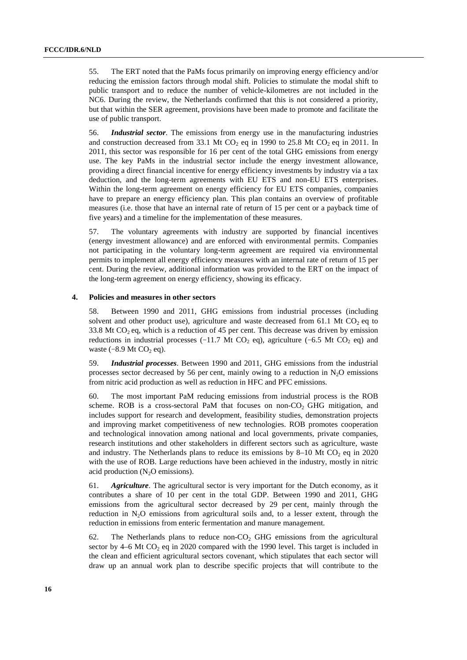55. The ERT noted that the PaMs focus primarily on improving energy efficiency and/or reducing the emission factors through modal shift. Policies to stimulate the modal shift to public transport and to reduce the number of vehicle-kilometres are not included in the NC6. During the review, the Netherlands confirmed that this is not considered a priority, but that within the SER agreement, provisions have been made to promote and facilitate the use of public transport.

56. *Industrial sector*. The emissions from energy use in the manufacturing industries and construction decreased from 33.1 Mt CO<sub>2</sub> eq in 1990 to 25.8 Mt CO<sub>2</sub> eq in 2011. In 2011, this sector was responsible for 16 per cent of the total GHG emissions from energy use. The key PaMs in the industrial sector include the energy investment allowance, providing a direct financial incentive for energy efficiency investments by industry via a tax deduction, and the long-term agreements with EU ETS and non-EU ETS enterprises. Within the long-term agreement on energy efficiency for EU ETS companies, companies have to prepare an energy efficiency plan. This plan contains an overview of profitable measures (i.e. those that have an internal rate of return of 15 per cent or a payback time of five years) and a timeline for the implementation of these measures.

57. The voluntary agreements with industry are supported by financial incentives (energy investment allowance) and are enforced with environmental permits. Companies not participating in the voluntary long-term agreement are required via environmental permits to implement all energy efficiency measures with an internal rate of return of 15 per cent. During the review, additional information was provided to the ERT on the impact of the long-term agreement on energy efficiency, showing its efficacy.

#### **4. Policies and measures in other sectors**

58. Between 1990 and 2011, GHG emissions from industrial processes (including solvent and other product use), agriculture and waste decreased from 61.1 Mt  $CO<sub>2</sub>$  eq to 33.8 Mt  $CO<sub>2</sub>$  eq, which is a reduction of 45 per cent. This decrease was driven by emission reductions in industrial processes ( $-11.7$  Mt CO<sub>2</sub> eq), agriculture ( $-6.5$  Mt CO<sub>2</sub> eq) and waste  $(-8.9 \text{ Mt } CO<sub>2</sub> \text{ eq}).$ 

59. *Industrial processes*. Between 1990 and 2011, GHG emissions from the industrial processes sector decreased by 56 per cent, mainly owing to a reduction in  $N<sub>2</sub>O$  emissions from nitric acid production as well as reduction in HFC and PFC emissions.

60. The most important PaM reducing emissions from industrial process is the ROB scheme. ROB is a cross-sectoral PaM that focuses on non- $CO<sub>2</sub>$  GHG mitigation, and includes support for research and development, feasibility studies, demonstration projects and improving market competitiveness of new technologies. ROB promotes cooperation and technological innovation among national and local governments, private companies, research institutions and other stakeholders in different sectors such as agriculture, waste and industry. The Netherlands plans to reduce its emissions by 8–10 Mt  $CO<sub>2</sub>$  eq in 2020 with the use of ROB. Large reductions have been achieved in the industry, mostly in nitric acid production  $(N_2O$  emissions).

61. *Agriculture*. The agricultural sector is very important for the Dutch economy, as it contributes a share of 10 per cent in the total GDP. Between 1990 and 2011, GHG emissions from the agricultural sector decreased by 29 per cent, mainly through the reduction in  $N_2O$  emissions from agricultural soils and, to a lesser extent, through the reduction in emissions from enteric fermentation and manure management.

62. The Netherlands plans to reduce non- $CO<sub>2</sub>$  GHG emissions from the agricultural sector by  $4-6$  Mt CO<sub>2</sub> eq in 2020 compared with the 1990 level. This target is included in the clean and efficient agricultural sectors covenant, which stipulates that each sector will draw up an annual work plan to describe specific projects that will contribute to the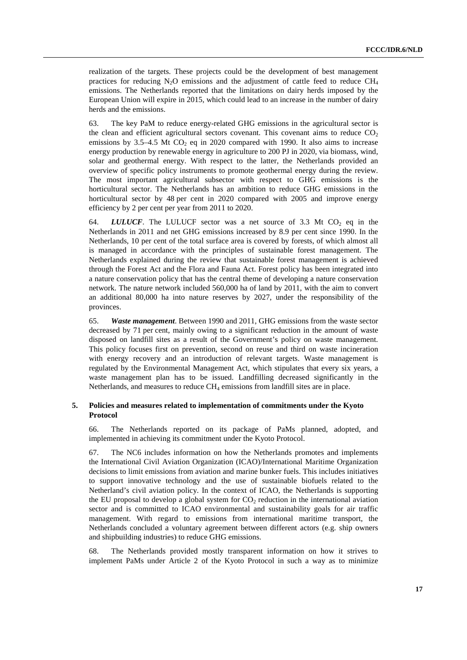realization of the targets. These projects could be the development of best management practices for reducing  $N_2O$  emissions and the adjustment of cattle feed to reduce  $CH_4$ emissions. The Netherlands reported that the limitations on dairy herds imposed by the European Union will expire in 2015, which could lead to an increase in the number of dairy herds and the emissions.

63. The key PaM to reduce energy-related GHG emissions in the agricultural sector is the clean and efficient agricultural sectors covenant. This covenant aims to reduce  $CO<sub>2</sub>$ emissions by  $3.5-4.5$  Mt CO<sub>2</sub> eq in 2020 compared with 1990. It also aims to increase energy production by renewable energy in agriculture to 200 PJ in 2020, via biomass, wind, solar and geothermal energy. With respect to the latter, the Netherlands provided an overview of specific policy instruments to promote geothermal energy during the review. The most important agricultural subsector with respect to GHG emissions is the horticultural sector. The Netherlands has an ambition to reduce GHG emissions in the horticultural sector by 48 per cent in 2020 compared with 2005 and improve energy efficiency by 2 per cent per year from 2011 to 2020.

64. *LULUCF*. The LULUCF sector was a net source of 3.3 Mt CO<sub>2</sub> eq in the Netherlands in 2011 and net GHG emissions increased by 8.9 per cent since 1990. In the Netherlands, 10 per cent of the total surface area is covered by forests, of which almost all is managed in accordance with the principles of sustainable forest management. The Netherlands explained during the review that sustainable forest management is achieved through the Forest Act and the Flora and Fauna Act. Forest policy has been integrated into a nature conservation policy that has the central theme of developing a nature conservation network. The nature network included 560,000 ha of land by 2011, with the aim to convert an additional 80,000 ha into nature reserves by 2027, under the responsibility of the provinces.

65. *Waste management*. Between 1990 and 2011, GHG emissions from the waste sector decreased by 71 per cent, mainly owing to a significant reduction in the amount of waste disposed on landfill sites as a result of the Government's policy on waste management. This policy focuses first on prevention, second on reuse and third on waste incineration with energy recovery and an introduction of relevant targets. Waste management is regulated by the Environmental Management Act, which stipulates that every six years, a waste management plan has to be issued. Landfilling decreased significantly in the Netherlands, and measures to reduce  $CH_4$  emissions from landfill sites are in place.

### **5. Policies and measures related to implementation of commitments under the Kyoto Protocol**

66. The Netherlands reported on its package of PaMs planned, adopted, and implemented in achieving its commitment under the Kyoto Protocol.

67. The NC6 includes information on how the Netherlands promotes and implements the International Civil Aviation Organization (ICAO)/International Maritime Organization decisions to limit emissions from aviation and marine bunker fuels. This includes initiatives to support innovative technology and the use of sustainable biofuels related to the Netherland's civil aviation policy. In the context of ICAO, the Netherlands is supporting the EU proposal to develop a global system for  $CO<sub>2</sub>$  reduction in the international aviation sector and is committed to ICAO environmental and sustainability goals for air traffic management. With regard to emissions from international maritime transport, the Netherlands concluded a voluntary agreement between different actors (e.g. ship owners and shipbuilding industries) to reduce GHG emissions.

68. The Netherlands provided mostly transparent information on how it strives to implement PaMs under Article 2 of the Kyoto Protocol in such a way as to minimize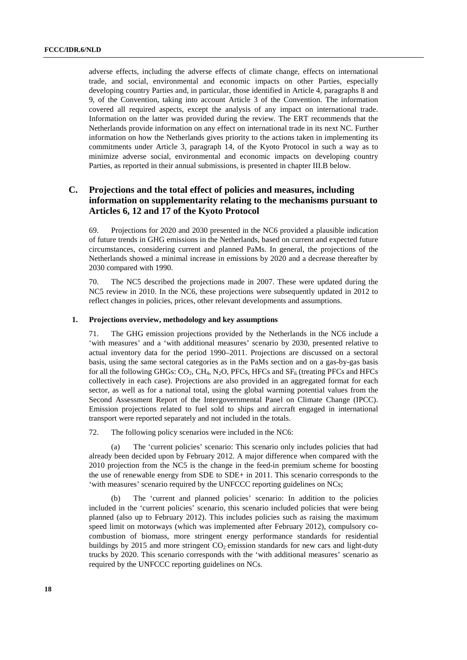adverse effects, including the adverse effects of climate change, effects on international trade, and social, environmental and economic impacts on other Parties, especially developing country Parties and, in particular, those identified in Article 4, paragraphs 8 and 9, of the Convention, taking into account Article 3 of the Convention. The information covered all required aspects, except the analysis of any impact on international trade. Information on the latter was provided during the review. The ERT recommends that the Netherlands provide information on any effect on international trade in its next NC. Further information on how the Netherlands gives priority to the actions taken in implementing its commitments under Article 3, paragraph 14, of the Kyoto Protocol in such a way as to minimize adverse social, environmental and economic impacts on developing country Parties, as reported in their annual submissions, is presented in chapter III.B below.

## **C. Projections and the total effect of policies and measures, including information on supplementarity relating to the mechanisms pursuant to Articles 6, 12 and 17 of the Kyoto Protocol**

69. Projections for 2020 and 2030 presented in the NC6 provided a plausible indication of future trends in GHG emissions in the Netherlands, based on current and expected future circumstances, considering current and planned PaMs. In general, the projections of the Netherlands showed a minimal increase in emissions by 2020 and a decrease thereafter by 2030 compared with 1990.

70. The NC5 described the projections made in 2007. These were updated during the NC5 review in 2010. In the NC6, these projections were subsequently updated in 2012 to reflect changes in policies, prices, other relevant developments and assumptions.

#### **1. Projections overview, methodology and key assumptions**

71. The GHG emission projections provided by the Netherlands in the NC6 include a 'with measures' and a 'with additional measures' scenario by 2030, presented relative to actual inventory data for the period 1990–2011. Projections are discussed on a sectoral basis, using the same sectoral categories as in the PaMs section and on a gas-by-gas basis for all the following GHGs:  $CO_2$ ,  $CH_4$ , N<sub>2</sub>O, PFCs, HFCs and SF<sub>6</sub> (treating PFCs and HFCs collectively in each case). Projections are also provided in an aggregated format for each sector, as well as for a national total, using the global warming potential values from the Second Assessment Report of the Intergovernmental Panel on Climate Change (IPCC). Emission projections related to fuel sold to ships and aircraft engaged in international transport were reported separately and not included in the totals.

72. The following policy scenarios were included in the NC6:

(a) The 'current policies' scenario: This scenario only includes policies that had already been decided upon by February 2012. A major difference when compared with the 2010 projection from the NC5 is the change in the feed-in premium scheme for boosting the use of renewable energy from SDE to SDE+ in 2011. This scenario corresponds to the 'with measures' scenario required by the UNFCCC reporting guidelines on NCs;

(b) The 'current and planned policies' scenario: In addition to the policies included in the 'current policies' scenario, this scenario included policies that were being planned (also up to February 2012). This includes policies such as raising the maximum speed limit on motorways (which was implemented after February 2012), compulsory cocombustion of biomass, more stringent energy performance standards for residential buildings by 2015 and more stringent  $CO<sub>2</sub>$  emission standards for new cars and light-duty trucks by 2020. This scenario corresponds with the 'with additional measures' scenario as required by the UNFCCC reporting guidelines on NCs.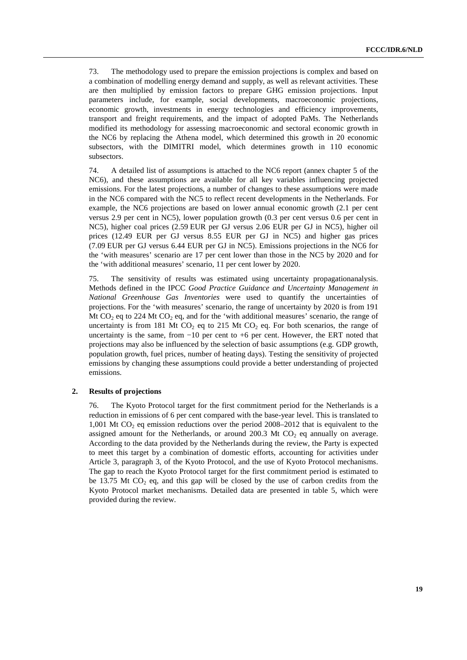73. The methodology used to prepare the emission projections is complex and based on a combination of modelling energy demand and supply, as well as relevant activities. These are then multiplied by emission factors to prepare GHG emission projections. Input parameters include, for example, social developments, macroeconomic projections, economic growth, investments in energy technologies and efficiency improvements, transport and freight requirements, and the impact of adopted PaMs. The Netherlands modified its methodology for assessing macroeconomic and sectoral economic growth in the NC6 by replacing the Athena model, which determined this growth in 20 economic subsectors, with the DIMITRI model, which determines growth in 110 economic subsectors.

74. A detailed list of assumptions is attached to the NC6 report (annex chapter 5 of the NC6), and these assumptions are available for all key variables influencing projected emissions. For the latest projections, a number of changes to these assumptions were made in the NC6 compared with the NC5 to reflect recent developments in the Netherlands. For example, the NC6 projections are based on lower annual economic growth (2.1 per cent versus 2.9 per cent in NC5), lower population growth (0.3 per cent versus 0.6 per cent in NC5), higher coal prices (2.59 EUR per GJ versus 2.06 EUR per GJ in NC5), higher oil prices (12.49 EUR per GJ versus 8.55 EUR per GJ in NC5) and higher gas prices (7.09 EUR per GJ versus 6.44 EUR per GJ in NC5). Emissions projections in the NC6 for the 'with measures' scenario are 17 per cent lower than those in the NC5 by 2020 and for the 'with additional measures' scenario, 11 per cent lower by 2020.

75. The sensitivity of results was estimated using uncertainty propagationanalysis. Methods defined in the IPCC *Good Practice Guidance and Uncertainty Management in National Greenhouse Gas Inventories* were used to quantify the uncertainties of projections. For the 'with measures' scenario, the range of uncertainty by 2020 is from 191 Mt CO<sub>2</sub> eq to 224 Mt CO<sub>2</sub> eq, and for the 'with additional measures' scenario, the range of uncertainty is from 181 Mt  $CO<sub>2</sub>$  eq to 215 Mt  $CO<sub>2</sub>$  eq. For both scenarios, the range of uncertainty is the same, from −10 per cent to +6 per cent. However, the ERT noted that projections may also be influenced by the selection of basic assumptions (e.g. GDP growth, population growth, fuel prices, number of heating days). Testing the sensitivity of projected emissions by changing these assumptions could provide a better understanding of projected emissions.

#### **2. Results of projections**

76. The Kyoto Protocol target for the first commitment period for the Netherlands is a reduction in emissions of 6 per cent compared with the base-year level. This is translated to 1,001 Mt  $CO<sub>2</sub>$  eq emission reductions over the period 2008–2012 that is equivalent to the assigned amount for the Netherlands, or around 200.3 Mt  $CO<sub>2</sub>$  eq annually on average. According to the data provided by the Netherlands during the review, the Party is expected to meet this target by a combination of domestic efforts, accounting for activities under Article 3, paragraph 3, of the Kyoto Protocol, and the use of Kyoto Protocol mechanisms. The gap to reach the Kyoto Protocol target for the first commitment period is estimated to be 13.75 Mt  $CO<sub>2</sub>$  eq, and this gap will be closed by the use of carbon credits from the Kyoto Protocol market mechanisms. Detailed data are presented in table 5, which were provided during the review.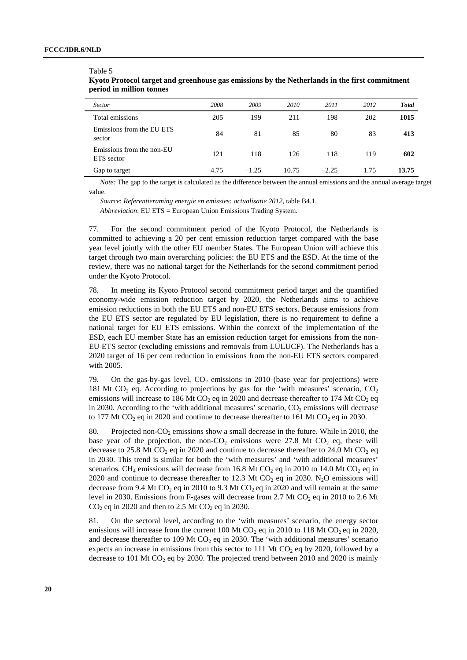#### Table 5

| Sector                                  | 2008 | 2009    | 2010  | 2011    | 2012 | <b>Total</b> |
|-----------------------------------------|------|---------|-------|---------|------|--------------|
| Total emissions                         | 205  | 199     | 211   | 198     | 202  | 1015         |
| Emissions from the EU ETS<br>sector     | 84   | 81      | 85    | 80      | 83   | 413          |
| Emissions from the non-EU<br>ETS sector | 121  | 118     | 126   | 118     | 119  | 602          |
| Gap to target                           | 4.75 | $-1.25$ | 10.75 | $-2.25$ | 1.75 | 13.75        |

### **Kyoto Protocol target and greenhouse gas emissions by the Netherlands in the first commitment period in million tonnes**

*Note:* The gap to the target is calculated as the difference between the annual emissions and the annual average target value.

*Source*: *Referentieraming energie en emissies: actualisatie 2012*, table B4.1. *Abbreviation*: EU ETS = European Union Emissions Trading System.

77. For the second commitment period of the Kyoto Protocol, the Netherlands is committed to achieving a 20 per cent emission reduction target compared with the base year level jointly with the other EU member States. The European Union will achieve this target through two main overarching policies: the EU ETS and the ESD. At the time of the review, there was no national target for the Netherlands for the second commitment period under the Kyoto Protocol.

78. In meeting its Kyoto Protocol second commitment period target and the quantified economy-wide emission reduction target by 2020, the Netherlands aims to achieve emission reductions in both the EU ETS and non-EU ETS sectors. Because emissions from the EU ETS sector are regulated by EU legislation, there is no requirement to define a national target for EU ETS emissions. Within the context of the implementation of the ESD, each EU member State has an emission reduction target for emissions from the non-EU ETS sector (excluding emissions and removals from LULUCF). The Netherlands has a 2020 target of 16 per cent reduction in emissions from the non-EU ETS sectors compared with 2005.

79. On the gas-by-gas level,  $CO<sub>2</sub>$  emissions in 2010 (base year for projections) were 181 Mt  $CO<sub>2</sub>$  eq. According to projections by gas for the 'with measures' scenario,  $CO<sub>2</sub>$ emissions will increase to 186 Mt  $CO<sub>2</sub>$  eq in 2020 and decrease thereafter to 174 Mt  $CO<sub>2</sub>$  eq in 2030. According to the 'with additional measures' scenario,  $CO<sub>2</sub>$  emissions will decrease to 177 Mt CO<sub>2</sub> eq in 2020 and continue to decrease thereafter to 161 Mt CO<sub>2</sub> eq in 2030.

80. Projected non- $CO<sub>2</sub>$  emissions show a small decrease in the future. While in 2010, the base year of the projection, the non- $CO<sub>2</sub>$  emissions were 27.8 Mt  $CO<sub>2</sub>$  eq, these will decrease to 25.8 Mt  $CO_2$  eq in 2020 and continue to decrease thereafter to 24.0 Mt  $CO_2$  eq in 2030. This trend is similar for both the 'with measures' and 'with additional measures' scenarios. CH<sub>4</sub> emissions will decrease from 16.8 Mt CO<sub>2</sub> eq in 2010 to 14.0 Mt CO<sub>2</sub> eq in 2020 and continue to decrease thereafter to 12.3 Mt CO<sub>2</sub> eq in 2030. N<sub>2</sub>O emissions will decrease from 9.4 Mt CO<sub>2</sub> eq in 2010 to 9.3 Mt CO<sub>2</sub> eq in 2020 and will remain at the same level in 2030. Emissions from F-gases will decrease from 2.7 Mt  $CO<sub>2</sub>$  eq in 2010 to 2.6 Mt  $CO<sub>2</sub>$  eq in 2020 and then to 2.5 Mt  $CO<sub>2</sub>$  eq in 2030.

81. On the sectoral level, according to the 'with measures' scenario, the energy sector emissions will increase from the current 100 Mt CO<sub>2</sub> eq in 2010 to 118 Mt CO<sub>2</sub> eq in 2020, and decrease thereafter to 109 Mt  $CO<sub>2</sub>$  eq in 2030. The 'with additional measures' scenario expects an increase in emissions from this sector to  $111$  Mt CO<sub>2</sub> eq by 2020, followed by a decrease to 101 Mt  $CO<sub>2</sub>$  eq by 2030. The projected trend between 2010 and 2020 is mainly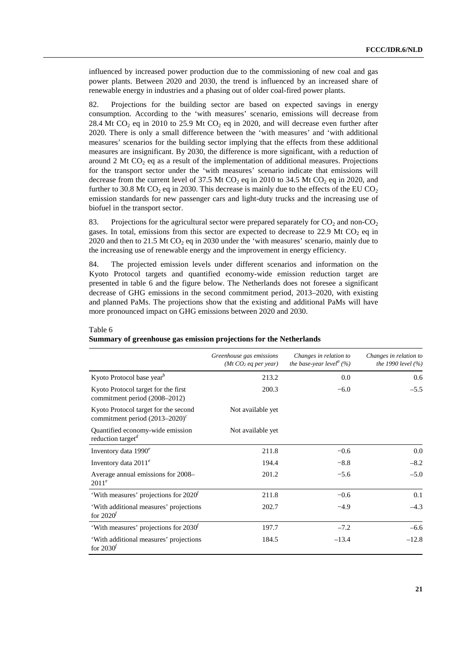influenced by increased power production due to the commissioning of new coal and gas power plants. Between 2020 and 2030, the trend is influenced by an increased share of renewable energy in industries and a phasing out of older coal-fired power plants.

82. Projections for the building sector are based on expected savings in energy consumption. According to the 'with measures' scenario, emissions will decrease from 28.4 Mt  $CO<sub>2</sub>$  eq in 2010 to 25.9 Mt  $CO<sub>2</sub>$  eq in 2020, and will decrease even further after 2020. There is only a small difference between the 'with measures' and 'with additional measures' scenarios for the building sector implying that the effects from these additional measures are insignificant. By 2030, the difference is more significant, with a reduction of around 2 Mt  $CO<sub>2</sub>$  eq as a result of the implementation of additional measures. Projections for the transport sector under the 'with measures' scenario indicate that emissions will decrease from the current level of 37.5 Mt  $CO<sub>2</sub>$  eq in 2010 to 34.5 Mt  $CO<sub>2</sub>$  eq in 2020, and further to 30.8 Mt  $CO<sub>2</sub>$  eq in 2030. This decrease is mainly due to the effects of the EU  $CO<sub>2</sub>$ emission standards for new passenger cars and light-duty trucks and the increasing use of biofuel in the transport sector.

83. Projections for the agricultural sector were prepared separately for  $CO<sub>2</sub>$  and non- $CO<sub>2</sub>$ gases. In total, emissions from this sector are expected to decrease to 22.9 Mt  $CO<sub>2</sub>$  eq in 2020 and then to 21.5 Mt  $CO<sub>2</sub>$  eq in 2030 under the 'with measures' scenario, mainly due to the increasing use of renewable energy and the improvement in energy efficiency.

84. The projected emission levels under different scenarios and information on the Kyoto Protocol targets and quantified economy-wide emission reduction target are presented in table 6 and the figure below. The Netherlands does not foresee a significant decrease of GHG emissions in the second commitment period, 2013–2020, with existing and planned PaMs. The projections show that the existing and additional PaMs will have more pronounced impact on GHG emissions between 2020 and 2030.

|                                                                                | Greenhouse gas emissions<br>(Mt CO <sub>2</sub> eq per year) | Changes in relation to<br>the base-year level <sup>a</sup> $(\%)$ | Changes in relation to<br><i>the 1990 level</i> $(\%)$ |
|--------------------------------------------------------------------------------|--------------------------------------------------------------|-------------------------------------------------------------------|--------------------------------------------------------|
| Kyoto Protocol base year <sup>b</sup>                                          | 213.2                                                        | 0.0                                                               | 0.6                                                    |
| Kyoto Protocol target for the first<br>commitment period (2008–2012)           | 200.3                                                        | $-6.0$                                                            | $-5.5$                                                 |
| Kyoto Protocol target for the second<br>commitment period $(2013-2020)^c$      | Not available yet                                            |                                                                   |                                                        |
| Quantified economy-wide emission<br>reduction target <sup><math>d</math></sup> | Not available yet                                            |                                                                   |                                                        |
| Inventory data $1990^e$                                                        | 211.8                                                        | $-0.6$                                                            | $0.0\,$                                                |
| Inventory data $2011^e$                                                        | 194.4                                                        | $-8.8$                                                            | $-8.2$                                                 |
| Average annual emissions for 2008-<br>$2011^e$                                 | 201.2                                                        | $-5.6$                                                            | $-5.0$                                                 |
| 'With measures' projections for 2020'                                          | 211.8                                                        | $-0.6$                                                            | 0.1                                                    |
| 'With additional measures' projections<br>for $2020f$                          | 202.7                                                        | $-4.9$                                                            | $-4.3$                                                 |
| 'With measures' projections for 2030 <sup>f</sup>                              | 197.7                                                        | $-7.2$                                                            | $-6.6$                                                 |
| 'With additional measures' projections<br>for $2030'$                          | 184.5                                                        | $-13.4$                                                           | $-12.8$                                                |

#### Table 6

**Summary of greenhouse gas emission projections for the Netherlands**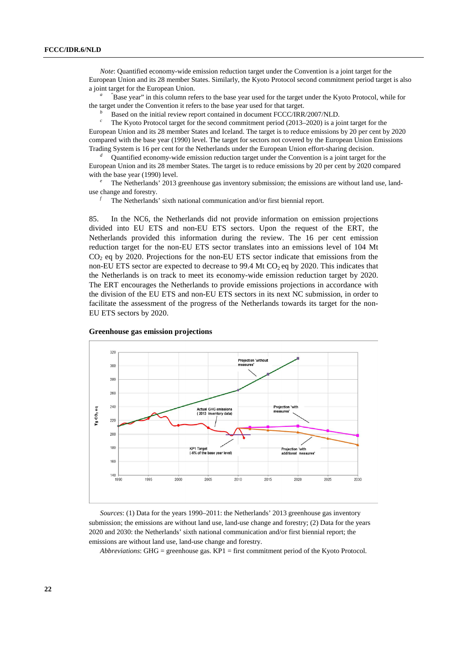*Note*: Quantified economy-wide emission reduction target under the Convention is a joint target for the European Union and its 28 member States. Similarly, the Kyoto Protocol second commitment period target is also a joint target for the European Union.

<sup>"</sup>Base year" in this column refers to the base year used for the target under the Kyoto Protocol, while for the target under the Convention it refers to the base year used for that target.

*b* Based on the initial review report contained in document FCCC/IRR/2007/NLD.

*c* The Kyoto Protocol target for the second commitment period (2013–2020) is a joint target for the European Union and its 28 member States and Iceland. The target is to reduce emissions by 20 per cent by 2020 compared with the base year (1990) level. The target for sectors not covered by the European Union Emissions Trading System is 16 per cent for the Netherlands under the European Union effort-sharing decision.

*d* Quantified economy-wide emission reduction target under the Convention is a joint target for the European Union and its 28 member States. The target is to reduce emissions by 20 per cent by 2020 compared with the base year (1990) level.

The Netherlands' 2013 greenhouse gas inventory submission; the emissions are without land use, landuse change and forestry.

*<sup>f</sup>* The Netherlands' sixth national communication and/or first biennial report.

85. In the NC6, the Netherlands did not provide information on emission projections divided into EU ETS and non-EU ETS sectors. Upon the request of the ERT, the Netherlands provided this information during the review. The 16 per cent emission reduction target for the non-EU ETS sector translates into an emissions level of 104 Mt  $CO<sub>2</sub>$  eq by 2020. Projections for the non-EU ETS sector indicate that emissions from the non-EU ETS sector are expected to decrease to  $99.4$  Mt CO<sub>2</sub> eq by 2020. This indicates that the Netherlands is on track to meet its economy-wide emission reduction target by 2020. The ERT encourages the Netherlands to provide emissions projections in accordance with the division of the EU ETS and non-EU ETS sectors in its next NC submission, in order to facilitate the assessment of the progress of the Netherlands towards its target for the non-EU ETS sectors by 2020.



#### **Greenhouse gas emission projections**

*Sources*: (1) Data for the years 1990–2011: the Netherlands' 2013 greenhouse gas inventory submission; the emissions are without land use, land-use change and forestry; (2) Data for the years 2020 and 2030: the Netherlands' sixth national communication and/or first biennial report; the emissions are without land use, land-use change and forestry.

*Abbreviations*: GHG = greenhouse gas. KP1 = first commitment period of the Kyoto Protocol.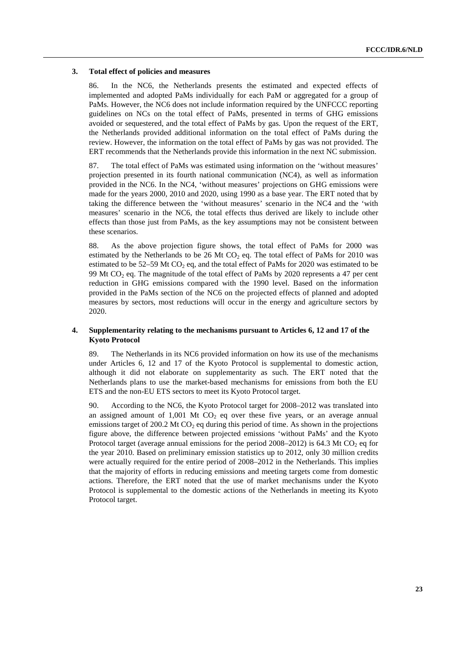#### **3. Total effect of policies and measures**

86. In the NC6, the Netherlands presents the estimated and expected effects of implemented and adopted PaMs individually for each PaM or aggregated for a group of PaMs. However, the NC6 does not include information required by the UNFCCC reporting guidelines on NCs on the total effect of PaMs, presented in terms of GHG emissions avoided or sequestered, and the total effect of PaMs by gas. Upon the request of the ERT, the Netherlands provided additional information on the total effect of PaMs during the review. However, the information on the total effect of PaMs by gas was not provided. The ERT recommends that the Netherlands provide this information in the next NC submission.

87. The total effect of PaMs was estimated using information on the 'without measures' projection presented in its fourth national communication (NC4), as well as information provided in the NC6. In the NC4, 'without measures' projections on GHG emissions were made for the years 2000, 2010 and 2020, using 1990 as a base year. The ERT noted that by taking the difference between the 'without measures' scenario in the NC4 and the 'with measures' scenario in the NC6, the total effects thus derived are likely to include other effects than those just from PaMs, as the key assumptions may not be consistent between these scenarios.

88. As the above projection figure shows, the total effect of PaMs for 2000 was estimated by the Netherlands to be 26 Mt CO<sub>2</sub> eq. The total effect of PaMs for 2010 was estimated to be  $52-59$  Mt CO<sub>2</sub> eq, and the total effect of PaMs for 2020 was estimated to be 99 Mt CO<sub>2</sub> eq. The magnitude of the total effect of PaMs by 2020 represents a 47 per cent reduction in GHG emissions compared with the 1990 level. Based on the information provided in the PaMs section of the NC6 on the projected effects of planned and adopted measures by sectors, most reductions will occur in the energy and agriculture sectors by 2020.

### **4. Supplementarity relating to the mechanisms pursuant to Articles 6, 12 and 17 of the Kyoto Protocol**

89. The Netherlands in its NC6 provided information on how its use of the mechanisms under Articles 6, 12 and 17 of the Kyoto Protocol is supplemental to domestic action, although it did not elaborate on supplementarity as such. The ERT noted that the Netherlands plans to use the market-based mechanisms for emissions from both the EU ETS and the non-EU ETS sectors to meet its Kyoto Protocol target.

90. According to the NC6, the Kyoto Protocol target for 2008–2012 was translated into an assigned amount of  $1,001$  Mt CO<sub>2</sub> eq over these five years, or an average annual emissions target of 200.2 Mt  $CO<sub>2</sub>$  eq during this period of time. As shown in the projections figure above, the difference between projected emissions 'without PaMs' and the Kyoto Protocol target (average annual emissions for the period  $2008-2012$ ) is 64.3 Mt CO<sub>2</sub> eq for the year 2010. Based on preliminary emission statistics up to 2012, only 30 million credits were actually required for the entire period of 2008–2012 in the Netherlands. This implies that the majority of efforts in reducing emissions and meeting targets come from domestic actions. Therefore, the ERT noted that the use of market mechanisms under the Kyoto Protocol is supplemental to the domestic actions of the Netherlands in meeting its Kyoto Protocol target.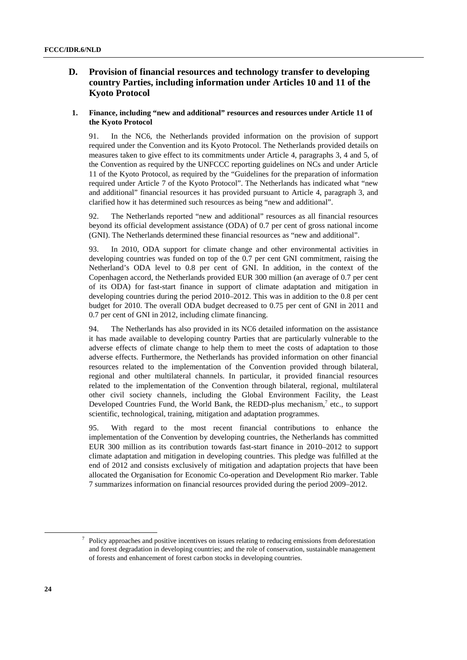## **D. Provision of financial resources and technology transfer to developing country Parties, including information under Articles 10 and 11 of the Kyoto Protocol**

### **1. Finance, including "new and additional" resources and resources under Article 11 of the Kyoto Protocol**

91. In the NC6, the Netherlands provided information on the provision of support required under the Convention and its Kyoto Protocol. The Netherlands provided details on measures taken to give effect to its commitments under Article 4, paragraphs 3, 4 and 5, of the Convention as required by the UNFCCC reporting guidelines on NCs and under Article 11 of the Kyoto Protocol, as required by the "Guidelines for the preparation of information required under Article 7 of the Kyoto Protocol". The Netherlands has indicated what "new and additional" financial resources it has provided pursuant to Article 4, paragraph 3, and clarified how it has determined such resources as being "new and additional".

92. The Netherlands reported "new and additional" resources as all financial resources beyond its official development assistance (ODA) of 0.7 per cent of gross national income (GNI). The Netherlands determined these financial resources as "new and additional".

93. In 2010, ODA support for climate change and other environmental activities in developing countries was funded on top of the 0.7 per cent GNI commitment, raising the Netherland's ODA level to 0.8 per cent of GNI. In addition, in the context of the Copenhagen accord, the Netherlands provided EUR 300 million (an average of 0.7 per cent of its ODA) for fast-start finance in support of climate adaptation and mitigation in developing countries during the period 2010–2012. This was in addition to the 0.8 per cent budget for 2010. The overall ODA budget decreased to 0.75 per cent of GNI in 2011 and 0.7 per cent of GNI in 2012, including climate financing.

94. The Netherlands has also provided in its NC6 detailed information on the assistance it has made available to developing country Parties that are particularly vulnerable to the adverse effects of climate change to help them to meet the costs of adaptation to those adverse effects. Furthermore, the Netherlands has provided information on other financial resources related to the implementation of the Convention provided through bilateral, regional and other multilateral channels. In particular, it provided financial resources related to the implementation of the Convention through bilateral, regional, multilateral other civil society channels, including the Global Environment Facility, the Least Developed Countries Fund, the World Bank, the REDD-plus mechanism, $7$  etc., to support scientific, technological, training, mitigation and adaptation programmes.

95. With regard to the most recent financial contributions to enhance the implementation of the Convention by developing countries, the Netherlands has committed EUR 300 million as its contribution towards fast-start finance in 2010–2012 to support climate adaptation and mitigation in developing countries. This pledge was fulfilled at the end of 2012 and consists exclusively of mitigation and adaptation projects that have been allocated the Organisation for Economic Co-operation and Development Rio marker. Table 7 summarizes information on financial resources provided during the period 2009–2012.

 <sup>7</sup>  $\frac{1}{2}$  Policy approaches and positive incentives on issues relating to reducing emissions from deforestation and forest degradation in developing countries; and the role of conservation, sustainable management of forests and enhancement of forest carbon stocks in developing countries.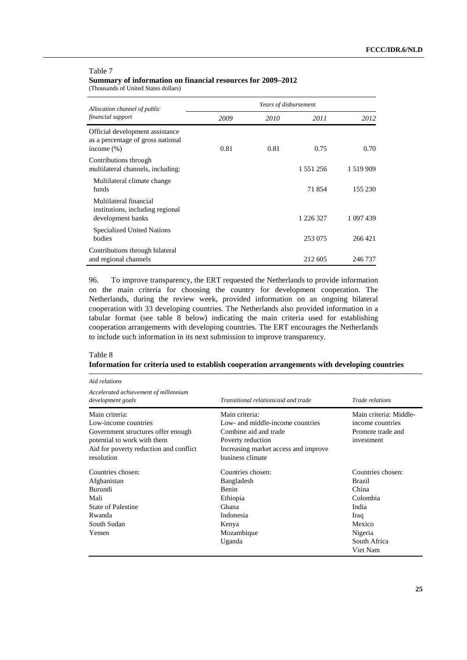#### Table 7

**Summary of information on financial resources for 2009–2012** 

(Thousands of United States dollars)

| Allocation channel of public                                                          | Years of disbursement |      |           |               |  |  |  |
|---------------------------------------------------------------------------------------|-----------------------|------|-----------|---------------|--|--|--|
| financial support                                                                     | 2009                  | 2010 | 2011      | 2012          |  |  |  |
| Official development assistance<br>as a percentage of gross national<br>income $(\%)$ | 0.81                  | 0.81 | 0.75      | 0.70          |  |  |  |
| Contributions through<br>multilateral channels, including:                            |                       |      | 1 551 256 | 1 5 1 9 9 0 9 |  |  |  |
| Multilateral climate change<br>funds                                                  |                       |      | 71 854    | 155 230       |  |  |  |
| Multilateral financial<br>institutions, including regional<br>development banks       |                       |      | 1 226 327 | 1 097 439     |  |  |  |
| Specialized United Nations<br>bodies                                                  |                       |      | 253 075   | 266 421       |  |  |  |
| Contributions through bilateral<br>and regional channels                              |                       |      | 212 605   | 246 737       |  |  |  |

96. To improve transparency, the ERT requested the Netherlands to provide information on the main criteria for choosing the country for development cooperation. The Netherlands, during the review week, provided information on an ongoing bilateral cooperation with 33 developing countries. The Netherlands also provided information in a tabular format (see table 8 below) indicating the main criteria used for establishing cooperation arrangements with developing countries. The ERT encourages the Netherlands to include such information in its next submission to improve transparency.

### Table 8 **Information for criteria used to establish cooperation arrangements with developing countries**

| Aid relations                                                                                                                                                       |                                                                                                                                                              |                                                                                                                    |  |
|---------------------------------------------------------------------------------------------------------------------------------------------------------------------|--------------------------------------------------------------------------------------------------------------------------------------------------------------|--------------------------------------------------------------------------------------------------------------------|--|
| Accelerated achievement of millennium<br>development goals                                                                                                          | Transitional relations/aid and trade                                                                                                                         | Trade relations                                                                                                    |  |
| Main criteria:<br>Low-income countries<br>Government structures offer enough<br>potential to work with them<br>Aid for poverty reduction and conflict<br>resolution | Main criteria:<br>Low- and middle-income countries<br>Combine aid and trade<br>Poverty reduction<br>Increasing market access and improve<br>business climate | Main criteria: Middle-<br>income countries<br>Promote trade and<br>investment                                      |  |
| Countries chosen:<br>Afghanistan<br>Burundi<br>Mali<br>State of Palestine<br>Rwanda<br>South Sudan<br>Yemen                                                         | Countries chosen:<br>Bangladesh<br>Benin<br>Ethiopia<br>Ghana<br>Indonesia<br>Kenya<br>Mozambique<br>Uganda                                                  | Countries chosen:<br>Brazil<br>China<br>Colombia<br>India<br>Iraq<br>Mexico<br>Nigeria<br>South Africa<br>Viet Nam |  |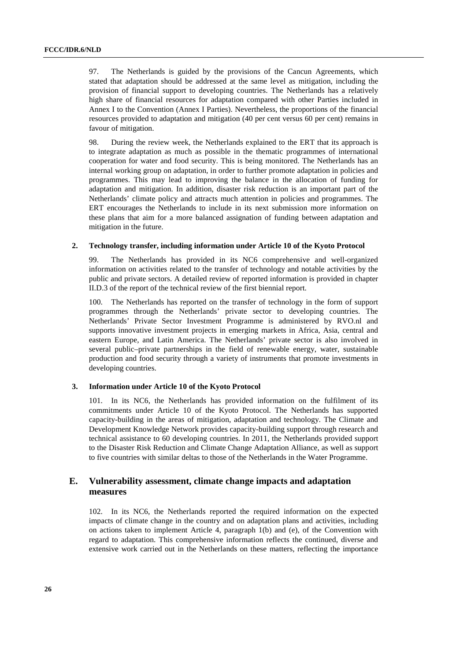97. The Netherlands is guided by the provisions of the Cancun Agreements, which stated that adaptation should be addressed at the same level as mitigation, including the provision of financial support to developing countries. The Netherlands has a relatively high share of financial resources for adaptation compared with other Parties included in Annex I to the Convention (Annex I Parties). Nevertheless, the proportions of the financial resources provided to adaptation and mitigation (40 per cent versus 60 per cent) remains in favour of mitigation.

98. During the review week, the Netherlands explained to the ERT that its approach is to integrate adaptation as much as possible in the thematic programmes of international cooperation for water and food security. This is being monitored. The Netherlands has an internal working group on adaptation, in order to further promote adaptation in policies and programmes. This may lead to improving the balance in the allocation of funding for adaptation and mitigation. In addition, disaster risk reduction is an important part of the Netherlands' climate policy and attracts much attention in policies and programmes. The ERT encourages the Netherlands to include in its next submission more information on these plans that aim for a more balanced assignation of funding between adaptation and mitigation in the future.

### **2. Technology transfer, including information under Article 10 of the Kyoto Protocol**

99. The Netherlands has provided in its NC6 comprehensive and well-organized information on activities related to the transfer of technology and notable activities by the public and private sectors. A detailed review of reported information is provided in chapter II.D.3 of the report of the technical review of the first biennial report.

100. The Netherlands has reported on the transfer of technology in the form of support programmes through the Netherlands' private sector to developing countries. The Netherlands' Private Sector Investment Programme is administered by RVO.nl and supports innovative investment projects in emerging markets in Africa, Asia, central and eastern Europe, and Latin America. The Netherlands' private sector is also involved in several public–private partnerships in the field of renewable energy, water, sustainable production and food security through a variety of instruments that promote investments in developing countries.

#### **3. Information under Article 10 of the Kyoto Protocol**

101. In its NC6, the Netherlands has provided information on the fulfilment of its commitments under Article 10 of the Kyoto Protocol. The Netherlands has supported capacity-building in the areas of mitigation, adaptation and technology. The Climate and Development Knowledge Network provides capacity-building support through research and technical assistance to 60 developing countries. In 2011, the Netherlands provided support to the Disaster Risk Reduction and Climate Change Adaptation Alliance, as well as support to five countries with similar deltas to those of the Netherlands in the Water Programme.

## **E. Vulnerability assessment, climate change impacts and adaptation measures**

102. In its NC6, the Netherlands reported the required information on the expected impacts of climate change in the country and on adaptation plans and activities, including on actions taken to implement Article 4, paragraph 1(b) and (e), of the Convention with regard to adaptation. This comprehensive information reflects the continued, diverse and extensive work carried out in the Netherlands on these matters, reflecting the importance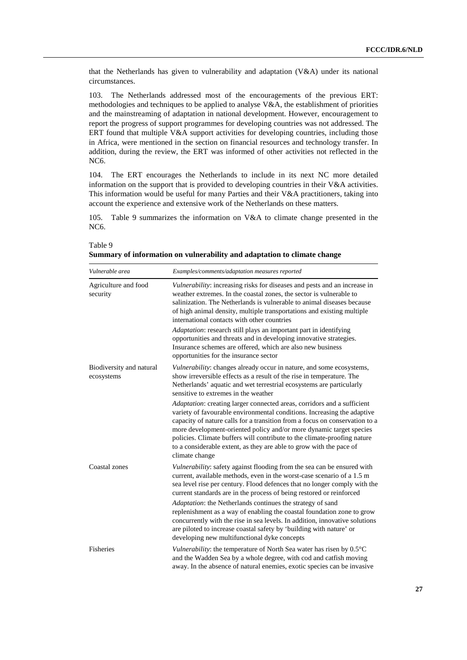that the Netherlands has given to vulnerability and adaptation (V&A) under its national circumstances.

103. The Netherlands addressed most of the encouragements of the previous ERT: methodologies and techniques to be applied to analyse V&A, the establishment of priorities and the mainstreaming of adaptation in national development. However, encouragement to report the progress of support programmes for developing countries was not addressed. The ERT found that multiple V&A support activities for developing countries, including those in Africa, were mentioned in the section on financial resources and technology transfer. In addition, during the review, the ERT was informed of other activities not reflected in the NC6.

104. The ERT encourages the Netherlands to include in its next NC more detailed information on the support that is provided to developing countries in their V&A activities. This information would be useful for many Parties and their  $V&A$  practitioners, taking into account the experience and extensive work of the Netherlands on these matters.

105. Table 9 summarizes the information on V&A to climate change presented in the NC6.

| Vulnerable area                        | Examples/comments/adaptation measures reported                                                                                                                                                                                                                                                                                                                                                                                                                                |
|----------------------------------------|-------------------------------------------------------------------------------------------------------------------------------------------------------------------------------------------------------------------------------------------------------------------------------------------------------------------------------------------------------------------------------------------------------------------------------------------------------------------------------|
| Agriculture and food<br>security       | Vulnerability: increasing risks for diseases and pests and an increase in<br>weather extremes. In the coastal zones, the sector is vulnerable to<br>salinization. The Netherlands is vulnerable to animal diseases because<br>of high animal density, multiple transportations and existing multiple<br>international contacts with other countries                                                                                                                           |
|                                        | Adaptation: research still plays an important part in identifying<br>opportunities and threats and in developing innovative strategies.<br>Insurance schemes are offered, which are also new business<br>opportunities for the insurance sector                                                                                                                                                                                                                               |
| Biodiversity and natural<br>ecosystems | Vulnerability: changes already occur in nature, and some ecosystems,<br>show irreversible effects as a result of the rise in temperature. The<br>Netherlands' aquatic and wet terrestrial ecosystems are particularly<br>sensitive to extremes in the weather                                                                                                                                                                                                                 |
|                                        | Adaptation: creating larger connected areas, corridors and a sufficient<br>variety of favourable environmental conditions. Increasing the adaptive<br>capacity of nature calls for a transition from a focus on conservation to a<br>more development-oriented policy and/or more dynamic target species<br>policies. Climate buffers will contribute to the climate-proofing nature<br>to a considerable extent, as they are able to grow with the pace of<br>climate change |
| Coastal zones                          | Vulnerability: safety against flooding from the sea can be ensured with<br>current, available methods, even in the worst-case scenario of a 1.5 m<br>sea level rise per century. Flood defences that no longer comply with the<br>current standards are in the process of being restored or reinforced                                                                                                                                                                        |
|                                        | Adaptation: the Netherlands continues the strategy of sand<br>replenishment as a way of enabling the coastal foundation zone to grow<br>concurrently with the rise in sea levels. In addition, innovative solutions<br>are piloted to increase coastal safety by 'building with nature' or<br>developing new multifunctional dyke concepts                                                                                                                                    |
| Fisheries                              | Vulnerability: the temperature of North Sea water has risen by $0.5^{\circ}$ C<br>and the Wadden Sea by a whole degree, with cod and catfish moving<br>away. In the absence of natural enemies, exotic species can be invasive                                                                                                                                                                                                                                                |

Table 9 **Summary of information on vulnerability and adaptation to climate change**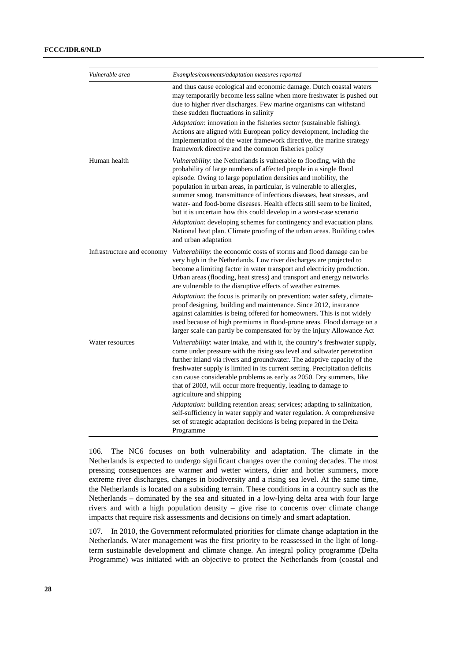| Vulnerable area            | Examples/comments/adaptation measures reported                                                                                                                                                                                                                                                                                                                                                                                                                                                                                                                                                                                                                                                                                              |
|----------------------------|---------------------------------------------------------------------------------------------------------------------------------------------------------------------------------------------------------------------------------------------------------------------------------------------------------------------------------------------------------------------------------------------------------------------------------------------------------------------------------------------------------------------------------------------------------------------------------------------------------------------------------------------------------------------------------------------------------------------------------------------|
|                            | and thus cause ecological and economic damage. Dutch coastal waters<br>may temporarily become less saline when more freshwater is pushed out<br>due to higher river discharges. Few marine organisms can withstand<br>these sudden fluctuations in salinity<br>Adaptation: innovation in the fisheries sector (sustainable fishing).<br>Actions are aligned with European policy development, including the<br>implementation of the water framework directive, the marine strategy<br>framework directive and the common fisheries policy                                                                                                                                                                                                  |
| Human health               | Vulnerability: the Netherlands is vulnerable to flooding, with the<br>probability of large numbers of affected people in a single flood<br>episode. Owing to large population densities and mobility, the<br>population in urban areas, in particular, is vulnerable to allergies,<br>summer smog, transmittance of infectious diseases, heat stresses, and<br>water- and food-borne diseases. Health effects still seem to be limited,<br>but it is uncertain how this could develop in a worst-case scenario<br>Adaptation: developing schemes for contingency and evacuation plans.<br>National heat plan. Climate proofing of the urban areas. Building codes<br>and urban adaptation                                                   |
| Infrastructure and economy | Vulnerability: the economic costs of storms and flood damage can be<br>very high in the Netherlands. Low river discharges are projected to<br>become a limiting factor in water transport and electricity production.<br>Urban areas (flooding, heat stress) and transport and energy networks<br>are vulnerable to the disruptive effects of weather extremes<br>Adaptation: the focus is primarily on prevention: water safety, climate-<br>proof designing, building and maintenance. Since 2012, insurance<br>against calamities is being offered for homeowners. This is not widely<br>used because of high premiums in flood-prone areas. Flood damage on a<br>larger scale can partly be compensated for by the Injury Allowance Act |
| Water resources            | Vulnerability: water intake, and with it, the country's freshwater supply,<br>come under pressure with the rising sea level and saltwater penetration<br>further inland via rivers and groundwater. The adaptive capacity of the<br>freshwater supply is limited in its current setting. Precipitation deficits<br>can cause considerable problems as early as 2050. Dry summers, like<br>that of 2003, will occur more frequently, leading to damage to<br>agriculture and shipping                                                                                                                                                                                                                                                        |
|                            | Adaptation: building retention areas; services; adapting to salinization,<br>self-sufficiency in water supply and water regulation. A comprehensive<br>set of strategic adaptation decisions is being prepared in the Delta<br>Programme                                                                                                                                                                                                                                                                                                                                                                                                                                                                                                    |

106. The NC6 focuses on both vulnerability and adaptation. The climate in the Netherlands is expected to undergo significant changes over the coming decades. The most pressing consequences are warmer and wetter winters, drier and hotter summers, more extreme river discharges, changes in biodiversity and a rising sea level. At the same time, the Netherlands is located on a subsiding terrain. These conditions in a country such as the Netherlands – dominated by the sea and situated in a low-lying delta area with four large rivers and with a high population density – give rise to concerns over climate change impacts that require risk assessments and decisions on timely and smart adaptation.

107. In 2010, the Government reformulated priorities for climate change adaptation in the Netherlands. Water management was the first priority to be reassessed in the light of longterm sustainable development and climate change. An integral policy programme (Delta Programme) was initiated with an objective to protect the Netherlands from (coastal and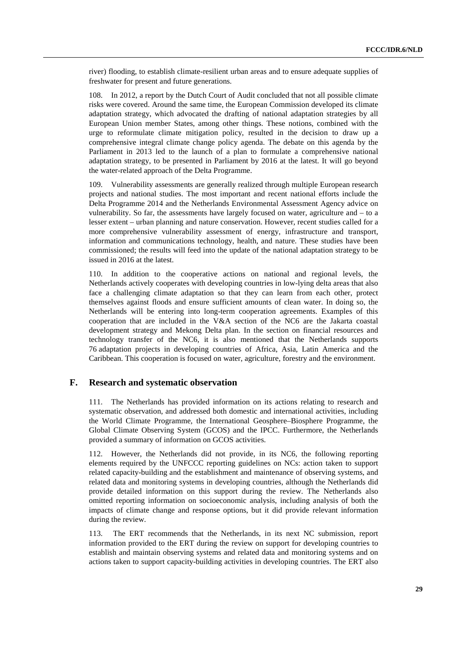river) flooding, to establish climate-resilient urban areas and to ensure adequate supplies of freshwater for present and future generations.

108. In 2012, a report by the Dutch Court of Audit concluded that not all possible climate risks were covered. Around the same time, the European Commission developed its climate adaptation strategy, which advocated the drafting of national adaptation strategies by all European Union member States, among other things. These notions, combined with the urge to reformulate climate mitigation policy, resulted in the decision to draw up a comprehensive integral climate change policy agenda. The debate on this agenda by the Parliament in 2013 led to the launch of a plan to formulate a comprehensive national adaptation strategy, to be presented in Parliament by 2016 at the latest. It will go beyond the water-related approach of the Delta Programme.

109. Vulnerability assessments are generally realized through multiple European research projects and national studies. The most important and recent national efforts include the Delta Programme 2014 and the Netherlands Environmental Assessment Agency advice on vulnerability. So far, the assessments have largely focused on water, agriculture and – to a lesser extent – urban planning and nature conservation. However, recent studies called for a more comprehensive vulnerability assessment of energy, infrastructure and transport, information and communications technology, health, and nature. These studies have been commissioned; the results will feed into the update of the national adaptation strategy to be issued in 2016 at the latest.

110. In addition to the cooperative actions on national and regional levels, the Netherlands actively cooperates with developing countries in low-lying delta areas that also face a challenging climate adaptation so that they can learn from each other, protect themselves against floods and ensure sufficient amounts of clean water. In doing so, the Netherlands will be entering into long-term cooperation agreements. Examples of this cooperation that are included in the V&A section of the NC6 are the Jakarta coastal development strategy and Mekong Delta plan. In the section on financial resources and technology transfer of the NC6, it is also mentioned that the Netherlands supports 76 adaptation projects in developing countries of Africa, Asia, Latin America and the Caribbean. This cooperation is focused on water, agriculture, forestry and the environment.

### **F. Research and systematic observation**

111. The Netherlands has provided information on its actions relating to research and systematic observation, and addressed both domestic and international activities, including the World Climate Programme, the International Geosphere–Biosphere Programme, the Global Climate Observing System (GCOS) and the IPCC. Furthermore, the Netherlands provided a summary of information on GCOS activities.

112. However, the Netherlands did not provide, in its NC6, the following reporting elements required by the UNFCCC reporting guidelines on NCs: action taken to support related capacity-building and the establishment and maintenance of observing systems, and related data and monitoring systems in developing countries, although the Netherlands did provide detailed information on this support during the review. The Netherlands also omitted reporting information on socioeconomic analysis, including analysis of both the impacts of climate change and response options, but it did provide relevant information during the review.

113. The ERT recommends that the Netherlands, in its next NC submission, report information provided to the ERT during the review on support for developing countries to establish and maintain observing systems and related data and monitoring systems and on actions taken to support capacity-building activities in developing countries. The ERT also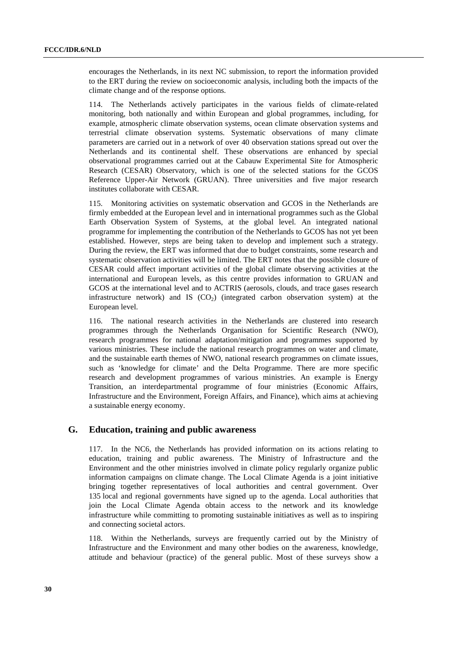encourages the Netherlands, in its next NC submission, to report the information provided to the ERT during the review on socioeconomic analysis, including both the impacts of the climate change and of the response options.

114. The Netherlands actively participates in the various fields of climate-related monitoring, both nationally and within European and global programmes, including, for example, atmospheric climate observation systems, ocean climate observation systems and terrestrial climate observation systems. Systematic observations of many climate parameters are carried out in a network of over 40 observation stations spread out over the Netherlands and its continental shelf. These observations are enhanced by special observational programmes carried out at the Cabauw Experimental Site for Atmospheric Research (CESAR) Observatory, which is one of the selected stations for the GCOS Reference Upper-Air Network (GRUAN). Three universities and five major research institutes collaborate with CESAR.

115. Monitoring activities on systematic observation and GCOS in the Netherlands are firmly embedded at the European level and in international programmes such as the Global Earth Observation System of Systems, at the global level. An integrated national programme for implementing the contribution of the Netherlands to GCOS has not yet been established. However, steps are being taken to develop and implement such a strategy. During the review, the ERT was informed that due to budget constraints, some research and systematic observation activities will be limited. The ERT notes that the possible closure of CESAR could affect important activities of the global climate observing activities at the international and European levels, as this centre provides information to GRUAN and GCOS at the international level and to ACTRIS (aerosols, clouds, and trace gases research infrastructure network) and IS  $(CO<sub>2</sub>)$  (integrated carbon observation system) at the European level.

116. The national research activities in the Netherlands are clustered into research programmes through the Netherlands Organisation for Scientific Research (NWO), research programmes for national adaptation/mitigation and programmes supported by various ministries. These include the national research programmes on water and climate, and the sustainable earth themes of NWO, national research programmes on climate issues, such as 'knowledge for climate' and the Delta Programme. There are more specific research and development programmes of various ministries. An example is Energy Transition, an interdepartmental programme of four ministries (Economic Affairs, Infrastructure and the Environment, Foreign Affairs, and Finance), which aims at achieving a sustainable energy economy.

### **G. Education, training and public awareness**

117. In the NC6, the Netherlands has provided information on its actions relating to education, training and public awareness. The Ministry of Infrastructure and the Environment and the other ministries involved in climate policy regularly organize public information campaigns on climate change. The Local Climate Agenda is a joint initiative bringing together representatives of local authorities and central government. Over 135 local and regional governments have signed up to the agenda. Local authorities that join the Local Climate Agenda obtain access to the network and its knowledge infrastructure while committing to promoting sustainable initiatives as well as to inspiring and connecting societal actors.

118. Within the Netherlands, surveys are frequently carried out by the Ministry of Infrastructure and the Environment and many other bodies on the awareness, knowledge, attitude and behaviour (practice) of the general public. Most of these surveys show a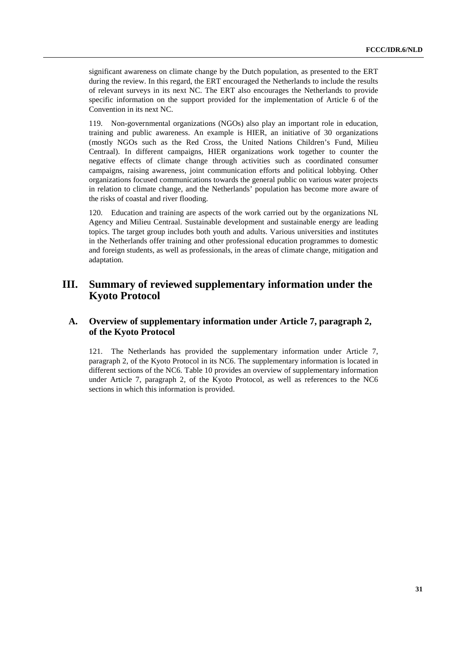significant awareness on climate change by the Dutch population, as presented to the ERT during the review. In this regard, the ERT encouraged the Netherlands to include the results of relevant surveys in its next NC. The ERT also encourages the Netherlands to provide specific information on the support provided for the implementation of Article 6 of the Convention in its next NC.

119. Non-governmental organizations (NGOs) also play an important role in education, training and public awareness. An example is HIER, an initiative of 30 organizations (mostly NGOs such as the Red Cross, the United Nations Children's Fund, Milieu Centraal). In different campaigns, HIER organizations work together to counter the negative effects of climate change through activities such as coordinated consumer campaigns, raising awareness, joint communication efforts and political lobbying. Other organizations focused communications towards the general public on various water projects in relation to climate change, and the Netherlands' population has become more aware of the risks of coastal and river flooding.

120. Education and training are aspects of the work carried out by the organizations NL Agency and Milieu Centraal. Sustainable development and sustainable energy are leading topics. The target group includes both youth and adults. Various universities and institutes in the Netherlands offer training and other professional education programmes to domestic and foreign students, as well as professionals, in the areas of climate change, mitigation and adaptation.

# **III. Summary of reviewed supplementary information under the Kyoto Protocol**

## **A. Overview of supplementary information under Article 7, paragraph 2, of the Kyoto Protocol**

121. The Netherlands has provided the supplementary information under Article 7, paragraph 2, of the Kyoto Protocol in its NC6. The supplementary information is located in different sections of the NC6. Table 10 provides an overview of supplementary information under Article 7, paragraph 2, of the Kyoto Protocol, as well as references to the NC6 sections in which this information is provided.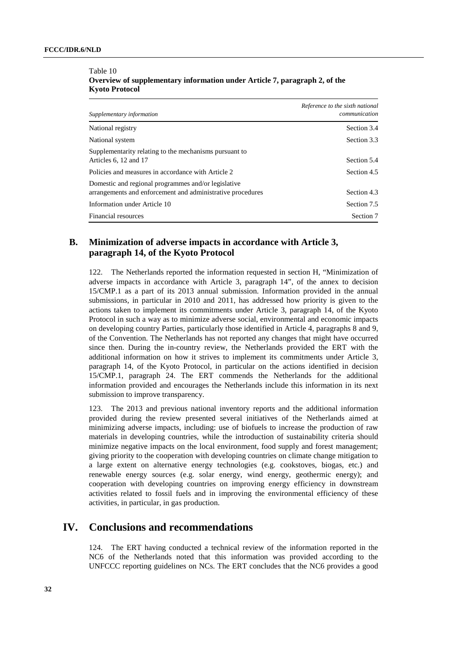| Supplementary information                                                                                                             | Reference to the sixth national<br>communication |  |
|---------------------------------------------------------------------------------------------------------------------------------------|--------------------------------------------------|--|
| National registry                                                                                                                     | Section 3.4                                      |  |
| National system                                                                                                                       | Section 3.3                                      |  |
| Supplementarity relating to the mechanisms pursuant to<br>Articles 6, 12 and 17<br>Policies and measures in accordance with Article 2 | Section 5.4<br>Section 4.5                       |  |
| Domestic and regional programmes and/or legislative<br>arrangements and enforcement and administrative procedures                     | Section 4.3                                      |  |
| Information under Article 10                                                                                                          | Section 7.5                                      |  |
| Financial resources                                                                                                                   | Section 7                                        |  |

#### Table 10 **Overview of supplementary information under Article 7, paragraph 2, of the Kyoto Protocol**

## **B. Minimization of adverse impacts in accordance with Article 3, paragraph 14, of the Kyoto Protocol**

122. The Netherlands reported the information requested in section H, "Minimization of adverse impacts in accordance with Article 3, paragraph 14", of the annex to decision 15/CMP.1 as a part of its 2013 annual submission. Information provided in the annual submissions, in particular in 2010 and 2011, has addressed how priority is given to the actions taken to implement its commitments under Article 3, paragraph 14, of the Kyoto Protocol in such a way as to minimize adverse social, environmental and economic impacts on developing country Parties, particularly those identified in Article 4, paragraphs 8 and 9, of the Convention. The Netherlands has not reported any changes that might have occurred since then. During the in-country review, the Netherlands provided the ERT with the additional information on how it strives to implement its commitments under Article 3, paragraph 14, of the Kyoto Protocol, in particular on the actions identified in decision 15/CMP.1, paragraph 24. The ERT commends the Netherlands for the additional information provided and encourages the Netherlands include this information in its next submission to improve transparency.

123. The 2013 and previous national inventory reports and the additional information provided during the review presented several initiatives of the Netherlands aimed at minimizing adverse impacts, including: use of biofuels to increase the production of raw materials in developing countries, while the introduction of sustainability criteria should minimize negative impacts on the local environment, food supply and forest management; giving priority to the cooperation with developing countries on climate change mitigation to a large extent on alternative energy technologies (e.g. cookstoves, biogas, etc.) and renewable energy sources (e.g. solar energy, wind energy, geothermic energy); and cooperation with developing countries on improving energy efficiency in downstream activities related to fossil fuels and in improving the environmental efficiency of these activities, in particular, in gas production.

# **IV. Conclusions and recommendations**

124. The ERT having conducted a technical review of the information reported in the NC6 of the Netherlands noted that this information was provided according to the UNFCCC reporting guidelines on NCs. The ERT concludes that the NC6 provides a good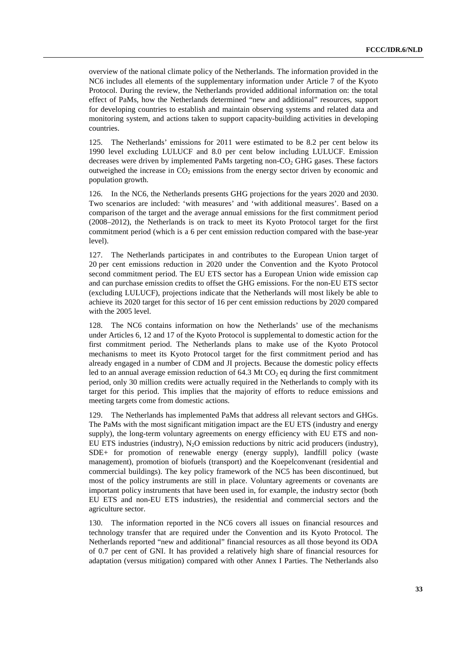overview of the national climate policy of the Netherlands. The information provided in the NC6 includes all elements of the supplementary information under Article 7 of the Kyoto Protocol. During the review, the Netherlands provided additional information on: the total effect of PaMs, how the Netherlands determined "new and additional" resources, support for developing countries to establish and maintain observing systems and related data and monitoring system, and actions taken to support capacity-building activities in developing countries.

125. The Netherlands' emissions for 2011 were estimated to be 8.2 per cent below its 1990 level excluding LULUCF and 8.0 per cent below including LULUCF. Emission decreases were driven by implemented PaMs targeting non-CO<sub>2</sub> GHG gases. These factors outweighed the increase in  $CO<sub>2</sub>$  emissions from the energy sector driven by economic and population growth.

126. In the NC6, the Netherlands presents GHG projections for the years 2020 and 2030. Two scenarios are included: 'with measures' and 'with additional measures'. Based on a comparison of the target and the average annual emissions for the first commitment period (2008–2012), the Netherlands is on track to meet its Kyoto Protocol target for the first commitment period (which is a 6 per cent emission reduction compared with the base-year level).

127. The Netherlands participates in and contributes to the European Union target of 20 per cent emissions reduction in 2020 under the Convention and the Kyoto Protocol second commitment period. The EU ETS sector has a European Union wide emission cap and can purchase emission credits to offset the GHG emissions. For the non-EU ETS sector (excluding LULUCF), projections indicate that the Netherlands will most likely be able to achieve its 2020 target for this sector of 16 per cent emission reductions by 2020 compared with the 2005 level.

128. The NC6 contains information on how the Netherlands' use of the mechanisms under Articles 6, 12 and 17 of the Kyoto Protocol is supplemental to domestic action for the first commitment period. The Netherlands plans to make use of the Kyoto Protocol mechanisms to meet its Kyoto Protocol target for the first commitment period and has already engaged in a number of CDM and JI projects. Because the domestic policy effects led to an annual average emission reduction of  $64.3$  Mt CO<sub>2</sub> eq during the first commitment period, only 30 million credits were actually required in the Netherlands to comply with its target for this period. This implies that the majority of efforts to reduce emissions and meeting targets come from domestic actions.

129. The Netherlands has implemented PaMs that address all relevant sectors and GHGs. The PaMs with the most significant mitigation impact are the EU ETS (industry and energy supply), the long-term voluntary agreements on energy efficiency with EU ETS and non-EU ETS industries (industry),  $N_2O$  emission reductions by nitric acid producers (industry), SDE+ for promotion of renewable energy (energy supply), landfill policy (waste management), promotion of biofuels (transport) and the Koepelconvenant (residential and commercial buildings). The key policy framework of the NC5 has been discontinued, but most of the policy instruments are still in place. Voluntary agreements or covenants are important policy instruments that have been used in, for example, the industry sector (both EU ETS and non-EU ETS industries), the residential and commercial sectors and the agriculture sector.

130. The information reported in the NC6 covers all issues on financial resources and technology transfer that are required under the Convention and its Kyoto Protocol. The Netherlands reported "new and additional" financial resources as all those beyond its ODA of 0.7 per cent of GNI. It has provided a relatively high share of financial resources for adaptation (versus mitigation) compared with other Annex I Parties. The Netherlands also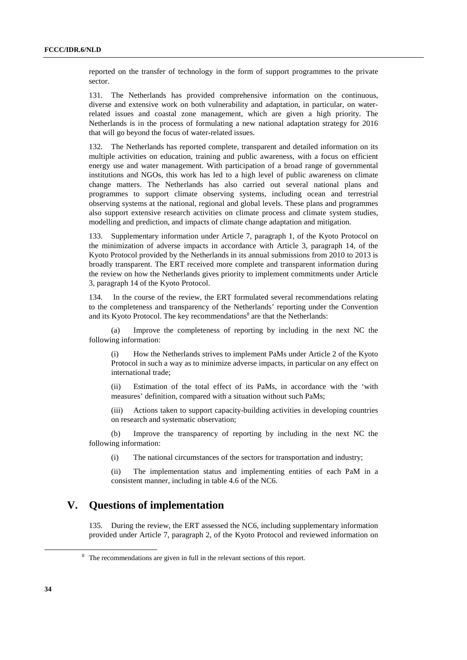reported on the transfer of technology in the form of support programmes to the private sector.

131. The Netherlands has provided comprehensive information on the continuous, diverse and extensive work on both vulnerability and adaptation, in particular, on waterrelated issues and coastal zone management, which are given a high priority. The Netherlands is in the process of formulating a new national adaptation strategy for 2016 that will go beyond the focus of water-related issues.

132. The Netherlands has reported complete, transparent and detailed information on its multiple activities on education, training and public awareness, with a focus on efficient energy use and water management. With participation of a broad range of governmental institutions and NGOs, this work has led to a high level of public awareness on climate change matters. The Netherlands has also carried out several national plans and programmes to support climate observing systems, including ocean and terrestrial observing systems at the national, regional and global levels. These plans and programmes also support extensive research activities on climate process and climate system studies, modelling and prediction, and impacts of climate change adaptation and mitigation.

133. Supplementary information under Article 7, paragraph 1, of the Kyoto Protocol on the minimization of adverse impacts in accordance with Article 3, paragraph 14, of the Kyoto Protocol provided by the Netherlands in its annual submissions from 2010 to 2013 is broadly transparent. The ERT received more complete and transparent information during the review on how the Netherlands gives priority to implement commitments under Article 3, paragraph 14 of the Kyoto Protocol.

134. In the course of the review, the ERT formulated several recommendations relating to the completeness and transparency of the Netherlands' reporting under the Convention and its Kyoto Protocol. The key recommendations<sup>8</sup> are that the Netherlands:

(a) Improve the completeness of reporting by including in the next NC the following information:

(i) How the Netherlands strives to implement PaMs under Article 2 of the Kyoto Protocol in such a way as to minimize adverse impacts, in particular on any effect on international trade;

(ii) Estimation of the total effect of its PaMs, in accordance with the 'with measures' definition, compared with a situation without such PaMs;

(iii) Actions taken to support capacity-building activities in developing countries on research and systematic observation;

(b) Improve the transparency of reporting by including in the next NC the following information:

(i) The national circumstances of the sectors for transportation and industry;

(ii) The implementation status and implementing entities of each PaM in a consistent manner, including in table 4.6 of the NC6.

# **V. Questions of implementation**

135. During the review, the ERT assessed the NC6, including supplementary information provided under Article 7, paragraph 2, of the Kyoto Protocol and reviewed information on

 <sup>8</sup> <sup>8</sup> The recommendations are given in full in the relevant sections of this report.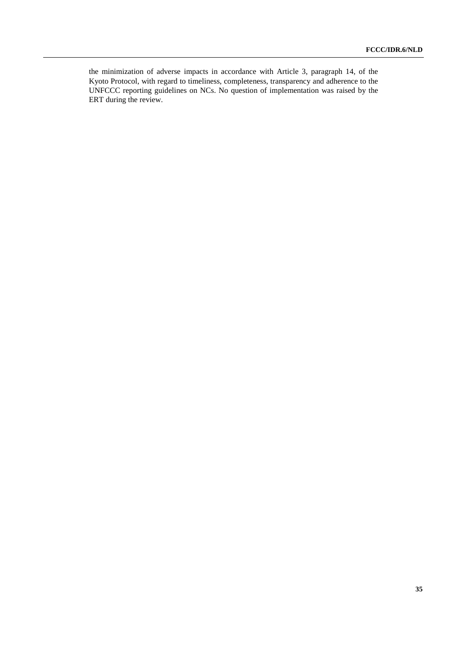the minimization of adverse impacts in accordance with Article 3, paragraph 14, of the Kyoto Protocol, with regard to timeliness, completeness, transparency and adherence to the UNFCCC reporting guidelines on NCs. No question of implementation was raised by the ERT during the review.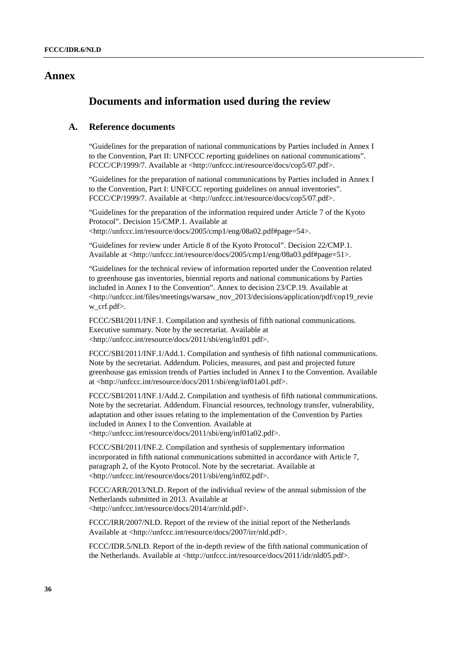## **Annex**

# **Documents and information used during the review**

## **A. Reference documents**

"Guidelines for the preparation of national communications by Parties included in Annex I to the Convention, Part II: UNFCCC reporting guidelines on national communications". FCCC/CP/1999/7. Available at <http://unfccc.int/resource/docs/cop5/07.pdf>.

"Guidelines for the preparation of national communications by Parties included in Annex I to the Convention, Part I: UNFCCC reporting guidelines on annual inventories". FCCC/CP/1999/7. Available at <http://unfccc.int/resource/docs/cop5/07.pdf>.

"Guidelines for the preparation of the information required under Article 7 of the Kyoto Protocol". Decision 15/CMP.1. Available at <http://unfccc.int/resource/docs/2005/cmp1/eng/08a02.pdf#page=54>.

"Guidelines for review under Article 8 of the Kyoto Protocol". Decision 22/CMP.1. Available at <http://unfccc.int/resource/docs/2005/cmp1/eng/08a03.pdf#page=51>.

"Guidelines for the technical review of information reported under the Convention related to greenhouse gas inventories, biennial reports and national communications by Parties included in Annex I to the Convention". Annex to decision 23/CP.19. Available at <http://unfccc.int/files/meetings/warsaw\_nov\_2013/decisions/application/pdf/cop19\_revie w\_crf.pdf>.

FCCC/SBI/2011/INF.1. Compilation and synthesis of fifth national communications. Executive summary. Note by the secretariat. Available at <http://unfccc.int/resource/docs/2011/sbi/eng/inf01.pdf>.

FCCC/SBI/2011/INF.1/Add.1. Compilation and synthesis of fifth national communications. Note by the secretariat. Addendum. Policies, measures, and past and projected future greenhouse gas emission trends of Parties included in Annex I to the Convention. Available at <http://unfccc.int/resource/docs/2011/sbi/eng/inf01a01.pdf>.

FCCC/SBI/2011/INF.1/Add.2. Compilation and synthesis of fifth national communications. Note by the secretariat. Addendum. Financial resources, technology transfer, vulnerability, adaptation and other issues relating to the implementation of the Convention by Parties included in Annex I to the Convention. Available at <http://unfccc.int/resource/docs/2011/sbi/eng/inf01a02.pdf>.

FCCC/SBI/2011/INF.2. Compilation and synthesis of supplementary information incorporated in fifth national communications submitted in accordance with Article 7, paragraph 2, of the Kyoto Protocol. Note by the secretariat. Available at <http://unfccc.int/resource/docs/2011/sbi/eng/inf02.pdf>.

FCCC/ARR/2013/NLD. Report of the individual review of the annual submission of the Netherlands submitted in 2013. Available at <http://unfccc.int/resource/docs/2014/arr/nld.pdf>.

FCCC/IRR/2007/NLD. Report of the review of the initial report of the Netherlands Available at <http://unfccc.int/resource/docs/2007/irr/nld.pdf>.

FCCC/IDR.5/NLD. Report of the in-depth review of the fifth national communication of the Netherlands. Available at <http://unfccc.int/resource/docs/2011/idr/nld05.pdf>.